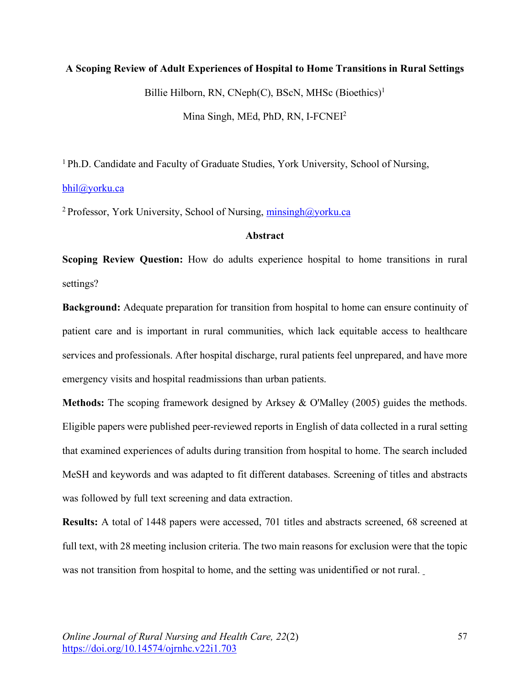# **A Scoping Review of Adult Experiences of Hospital to Home Transitions in Rural Settings**

Billie Hilborn, RN, CNeph $(C)$ , BScN, MHSc (Bioethics)<sup>1</sup>

Mina Singh, MEd, PhD, RN, I-FCNEI2

1 Ph.D. Candidate and Faculty of Graduate Studies, York University, School of Nursing,

#### bhil@yorku.ca

<sup>2</sup> Professor, York University, School of Nursing,  $minsingh@yorku.ca$ 

## **Abstract**

**Scoping Review Question:** How do adults experience hospital to home transitions in rural settings?

**Background:** Adequate preparation for transition from hospital to home can ensure continuity of patient care and is important in rural communities, which lack equitable access to healthcare services and professionals. After hospital discharge, rural patients feel unprepared, and have more emergency visits and hospital readmissions than urban patients.

**Methods:** The scoping framework designed by Arksey & O'Malley (2005) guides the methods. Eligible papers were published peer-reviewed reports in English of data collected in a rural setting that examined experiences of adults during transition from hospital to home. The search included MeSH and keywords and was adapted to fit different databases. Screening of titles and abstracts was followed by full text screening and data extraction.

**Results:** A total of 1448 papers were accessed, 701 titles and abstracts screened, 68 screened at full text, with 28 meeting inclusion criteria. The two main reasons for exclusion were that the topic was not transition from hospital to home, and the setting was unidentified or not rural.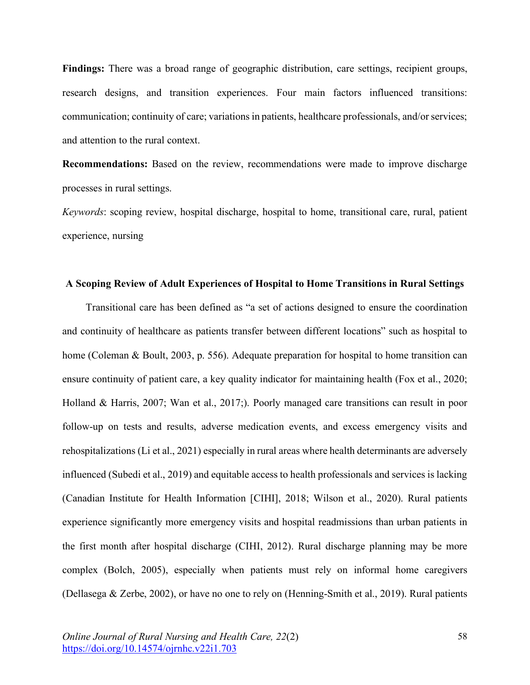**Findings:** There was a broad range of geographic distribution, care settings, recipient groups, research designs, and transition experiences. Four main factors influenced transitions: communication; continuity of care; variations in patients, healthcare professionals, and/or services; and attention to the rural context.

**Recommendations:** Based on the review, recommendations were made to improve discharge processes in rural settings.

*Keywords*: scoping review, hospital discharge, hospital to home, transitional care, rural, patient experience, nursing

#### **A Scoping Review of Adult Experiences of Hospital to Home Transitions in Rural Settings**

Transitional care has been defined as "a set of actions designed to ensure the coordination and continuity of healthcare as patients transfer between different locations" such as hospital to home (Coleman & Boult, 2003, p. 556). Adequate preparation for hospital to home transition can ensure continuity of patient care, a key quality indicator for maintaining health (Fox et al., 2020; Holland & Harris, 2007; Wan et al., 2017;). Poorly managed care transitions can result in poor follow-up on tests and results, adverse medication events, and excess emergency visits and rehospitalizations (Li et al., 2021) especially in rural areas where health determinants are adversely influenced (Subedi et al., 2019) and equitable access to health professionals and services is lacking (Canadian Institute for Health Information [CIHI], 2018; Wilson et al., 2020). Rural patients experience significantly more emergency visits and hospital readmissions than urban patients in the first month after hospital discharge (CIHI, 2012). Rural discharge planning may be more complex (Bolch, 2005), especially when patients must rely on informal home caregivers (Dellasega & Zerbe, 2002), or have no one to rely on (Henning-Smith et al., 2019). Rural patients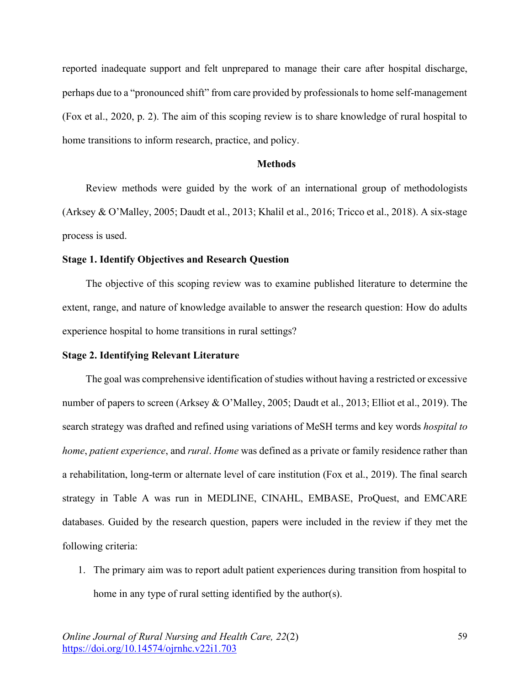reported inadequate support and felt unprepared to manage their care after hospital discharge, perhaps due to a "pronounced shift" from care provided by professionals to home self-management (Fox et al., 2020, p. 2). The aim of this scoping review is to share knowledge of rural hospital to home transitions to inform research, practice, and policy.

#### **Methods**

Review methods were guided by the work of an international group of methodologists (Arksey & O'Malley, 2005; Daudt et al., 2013; Khalil et al., 2016; Tricco et al., 2018). A six-stage process is used.

#### **Stage 1. Identify Objectives and Research Question**

The objective of this scoping review was to examine published literature to determine the extent, range, and nature of knowledge available to answer the research question: How do adults experience hospital to home transitions in rural settings?

#### **Stage 2. Identifying Relevant Literature**

The goal was comprehensive identification of studies without having a restricted or excessive number of papers to screen (Arksey & O'Malley, 2005; Daudt et al., 2013; Elliot et al., 2019). The search strategy was drafted and refined using variations of MeSH terms and key words *hospital to home*, *patient experience*, and *rural*. *Home* was defined as a private or family residence rather than a rehabilitation, long-term or alternate level of care institution (Fox et al., 2019). The final search strategy in Table A was run in MEDLINE, CINAHL, EMBASE, ProQuest, and EMCARE databases. Guided by the research question, papers were included in the review if they met the following criteria:

1. The primary aim was to report adult patient experiences during transition from hospital to home in any type of rural setting identified by the author(s).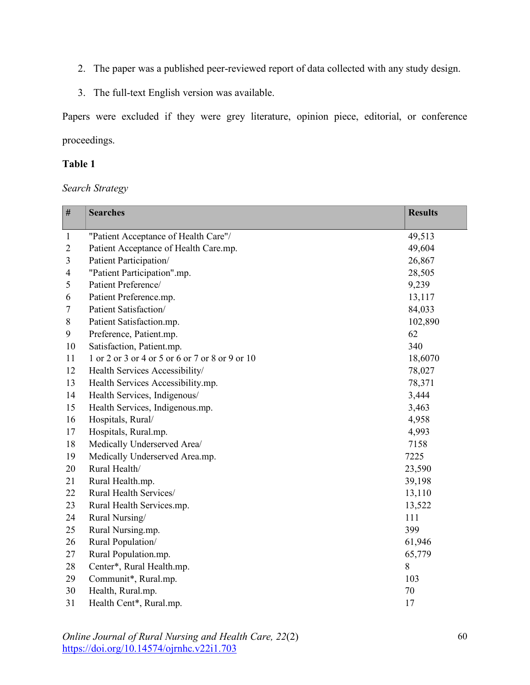- 2. The paper was a published peer-reviewed report of data collected with any study design.
- 3. The full-text English version was available.

Papers were excluded if they were grey literature, opinion piece, editorial, or conference proceedings.

# **Table 1**

# *Search Strategy*

| $\#$           | <b>Searches</b>                                 | <b>Results</b> |
|----------------|-------------------------------------------------|----------------|
| $\mathbf{1}$   | "Patient Acceptance of Health Care"/            | 49,513         |
| $\overline{c}$ | Patient Acceptance of Health Care.mp.           | 49,604         |
| 3              | Patient Participation/                          | 26,867         |
| 4              | "Patient Participation".mp.                     | 28,505         |
| 5              | Patient Preference/                             | 9,239          |
| 6              | Patient Preference.mp.                          | 13,117         |
| 7              | Patient Satisfaction/                           | 84,033         |
| $8\,$          | Patient Satisfaction.mp.                        | 102,890        |
| 9              | Preference, Patient.mp.                         | 62             |
| 10             | Satisfaction, Patient.mp.                       | 340            |
| 11             | 1 or 2 or 3 or 4 or 5 or 6 or 7 or 8 or 9 or 10 | 18,6070        |
| 12             | Health Services Accessibility/                  | 78,027         |
| 13             | Health Services Accessibility.mp.               | 78,371         |
| 14             | Health Services, Indigenous/                    | 3,444          |
| 15             | Health Services, Indigenous.mp.                 | 3,463          |
| 16             | Hospitals, Rural/                               | 4,958          |
| 17             | Hospitals, Rural.mp.                            | 4,993          |
| 18             | Medically Underserved Area/                     | 7158           |
| 19             | Medically Underserved Area.mp.                  | 7225           |
| 20             | Rural Health/                                   | 23,590         |
| 21             | Rural Health.mp.                                | 39,198         |
| 22             | Rural Health Services/                          | 13,110         |
| 23             | Rural Health Services.mp.                       | 13,522         |
| 24             | Rural Nursing/                                  | 111            |
| 25             | Rural Nursing.mp.                               | 399            |
| 26             | Rural Population/                               | 61,946         |
| 27             | Rural Population.mp.                            | 65,779         |
| 28             | Center*, Rural Health.mp.                       | 8              |
| 29             | Communit*, Rural.mp.                            | 103            |
| 30             | Health, Rural.mp.                               | 70             |
| 31             | Health Cent*, Rural.mp.                         | 17             |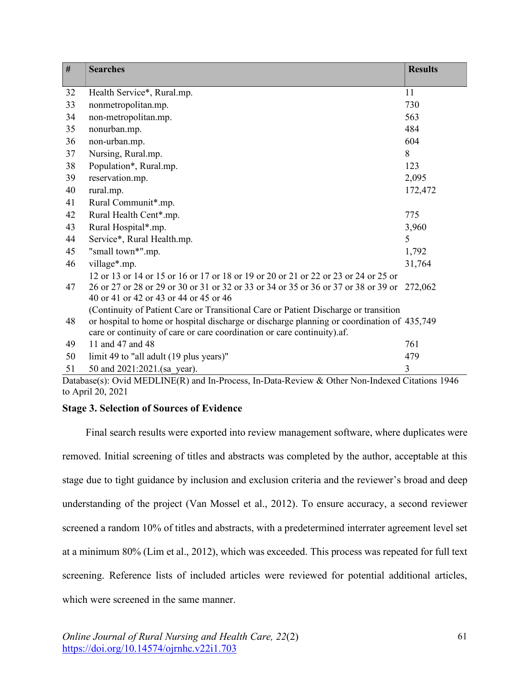| $\#$ | <b>Searches</b>                                                                                                                                                                                                                                              | <b>Results</b> |
|------|--------------------------------------------------------------------------------------------------------------------------------------------------------------------------------------------------------------------------------------------------------------|----------------|
| 32   | Health Service*, Rural.mp.                                                                                                                                                                                                                                   | 11             |
| 33   | nonmetropolitan.mp.                                                                                                                                                                                                                                          | 730            |
| 34   | non-metropolitan.mp.                                                                                                                                                                                                                                         | 563            |
| 35   | nonurban.mp.                                                                                                                                                                                                                                                 | 484            |
| 36   | non-urban.mp.                                                                                                                                                                                                                                                | 604            |
| 37   | Nursing, Rural.mp.                                                                                                                                                                                                                                           | 8              |
| 38   | Population*, Rural.mp.                                                                                                                                                                                                                                       | 123            |
| 39   | reservation.mp.                                                                                                                                                                                                                                              | 2,095          |
| 40   | rural.mp.                                                                                                                                                                                                                                                    | 172,472        |
| 41   | Rural Communit*.mp.                                                                                                                                                                                                                                          |                |
| 42   | Rural Health Cent*.mp.                                                                                                                                                                                                                                       | 775            |
| 43   | Rural Hospital*.mp.                                                                                                                                                                                                                                          | 3,960          |
| 44   | Service*, Rural Health.mp.                                                                                                                                                                                                                                   | 5              |
| 45   | "small town*".mp.                                                                                                                                                                                                                                            | 1,792          |
| 46   | village*.mp.                                                                                                                                                                                                                                                 | 31,764         |
| 47   | 12 or 13 or 14 or 15 or 16 or 17 or 18 or 19 or 20 or 21 or 22 or 23 or 24 or 25 or<br>26 or 27 or 28 or 29 or 30 or 31 or 32 or 33 or 34 or 35 or 36 or 37 or 38 or 39 or<br>40 or 41 or 42 or 43 or 44 or 45 or 46                                         | 272,062        |
| 48   | (Continuity of Patient Care or Transitional Care or Patient Discharge or transition<br>or hospital to home or hospital discharge or discharge planning or coordination of 435,749<br>care or continuity of care or care coordination or care continuity).af. |                |
| 49   | 11 and 47 and 48                                                                                                                                                                                                                                             | 761            |
| 50   | limit 49 to "all adult (19 plus years)"                                                                                                                                                                                                                      | 479            |
| 51   | 50 and 2021:2021.(sa year).                                                                                                                                                                                                                                  | 3              |

Database(s): Ovid MEDLINE(R) and In-Process, In-Data-Review & Other Non-Indexed Citations 1946 to April 20, 2021

# **Stage 3. Selection of Sources of Evidence**

Final search results were exported into review management software, where duplicates were removed. Initial screening of titles and abstracts was completed by the author, acceptable at this stage due to tight guidance by inclusion and exclusion criteria and the reviewer's broad and deep understanding of the project (Van Mossel et al., 2012). To ensure accuracy, a second reviewer screened a random 10% of titles and abstracts, with a predetermined interrater agreement level set at a minimum 80% (Lim et al., 2012), which was exceeded. This process was repeated for full text screening. Reference lists of included articles were reviewed for potential additional articles, which were screened in the same manner.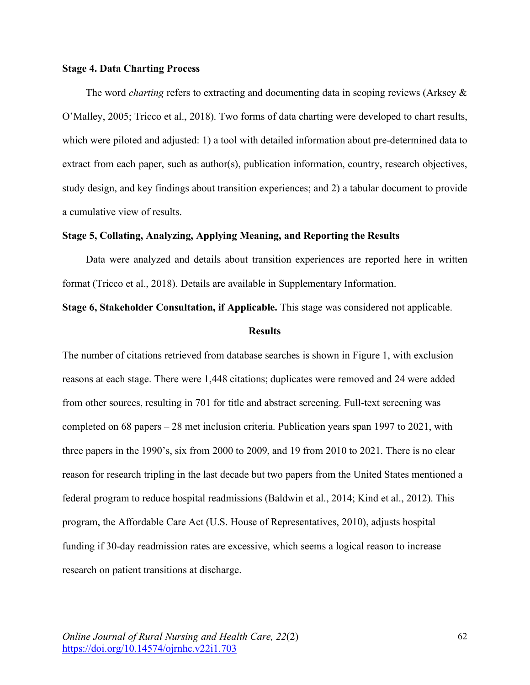## **Stage 4. Data Charting Process**

The word *charting* refers to extracting and documenting data in scoping reviews (Arksey & O'Malley, 2005; Tricco et al., 2018). Two forms of data charting were developed to chart results, which were piloted and adjusted: 1) a tool with detailed information about pre-determined data to extract from each paper, such as author(s), publication information, country, research objectives, study design, and key findings about transition experiences; and 2) a tabular document to provide a cumulative view of results.

## **Stage 5, Collating, Analyzing, Applying Meaning, and Reporting the Results**

Data were analyzed and details about transition experiences are reported here in written format (Tricco et al., 2018). Details are available in Supplementary Information.

#### **Stage 6, Stakeholder Consultation, if Applicable.** This stage was considered not applicable.

#### **Results**

The number of citations retrieved from database searches is shown in Figure 1, with exclusion reasons at each stage. There were 1,448 citations; duplicates were removed and 24 were added from other sources, resulting in 701 for title and abstract screening. Full-text screening was completed on 68 papers – 28 met inclusion criteria. Publication years span 1997 to 2021, with three papers in the 1990's, six from 2000 to 2009, and 19 from 2010 to 2021. There is no clear reason for research tripling in the last decade but two papers from the United States mentioned a federal program to reduce hospital readmissions (Baldwin et al., 2014; Kind et al., 2012). This program, the Affordable Care Act (U.S. House of Representatives, 2010), adjusts hospital funding if 30-day readmission rates are excessive, which seems a logical reason to increase research on patient transitions at discharge.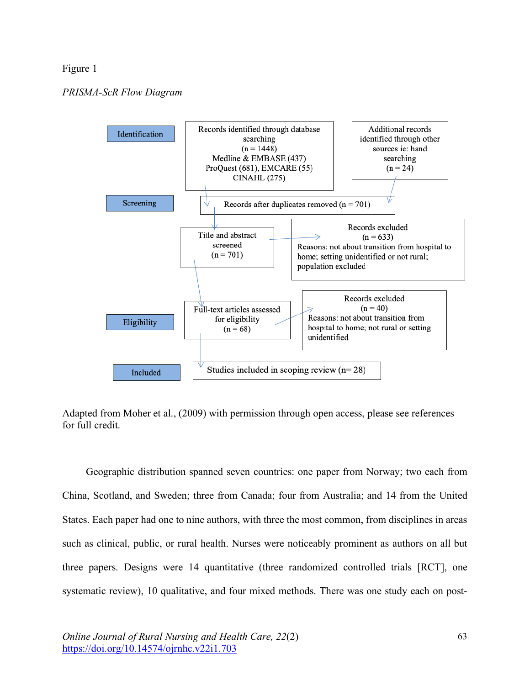## Figure 1

# *PRISMA-ScR Flow Diagram*



Adapted from Moher et al., (2009) with permission through open access, please see references for full credit.

Geographic distribution spanned seven countries: one paper from Norway; two each from China, Scotland, and Sweden; three from Canada; four from Australia; and 14 from the United States. Each paper had one to nine authors, with three the most common, from disciplines in areas such as clinical, public, or rural health. Nurses were noticeably prominent as authors on all but three papers. Designs were 14 quantitative (three randomized controlled trials [RCT], one systematic review), 10 qualitative, and four mixed methods. There was one study each on post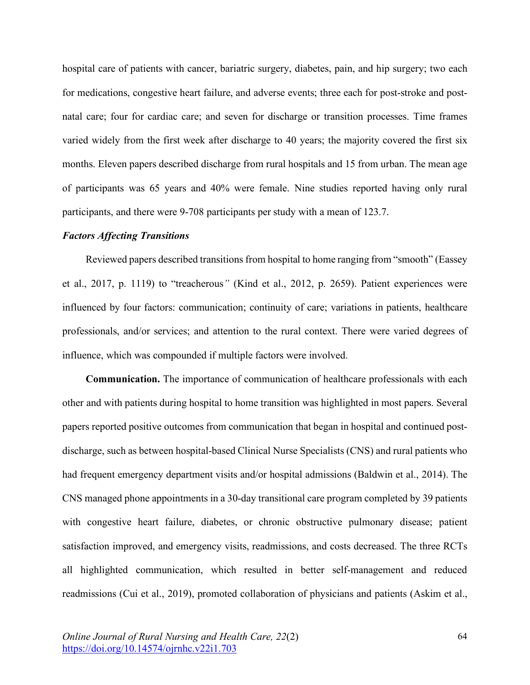hospital care of patients with cancer, bariatric surgery, diabetes, pain, and hip surgery; two each for medications, congestive heart failure, and adverse events; three each for post-stroke and postnatal care; four for cardiac care; and seven for discharge or transition processes. Time frames varied widely from the first week after discharge to 40 years; the majority covered the first six months. Eleven papers described discharge from rural hospitals and 15 from urban. The mean age of participants was 65 years and 40% were female. Nine studies reported having only rural participants, and there were 9-708 participants per study with a mean of 123.7.

#### *Factors Affecting Transitions*

Reviewed papers described transitions from hospital to home ranging from "smooth" (Eassey et al., 2017, p. 1119) to "treacherous*"* (Kind et al., 2012, p. 2659). Patient experiences were influenced by four factors: communication; continuity of care; variations in patients, healthcare professionals, and/or services; and attention to the rural context. There were varied degrees of influence, which was compounded if multiple factors were involved.

**Communication.** The importance of communication of healthcare professionals with each other and with patients during hospital to home transition was highlighted in most papers. Several papers reported positive outcomes from communication that began in hospital and continued postdischarge, such as between hospital-based Clinical Nurse Specialists (CNS) and rural patients who had frequent emergency department visits and/or hospital admissions (Baldwin et al., 2014). The CNS managed phone appointments in a 30-day transitional care program completed by 39 patients with congestive heart failure, diabetes, or chronic obstructive pulmonary disease; patient satisfaction improved, and emergency visits, readmissions, and costs decreased. The three RCTs all highlighted communication, which resulted in better self-management and reduced readmissions (Cui et al., 2019), promoted collaboration of physicians and patients (Askim et al.,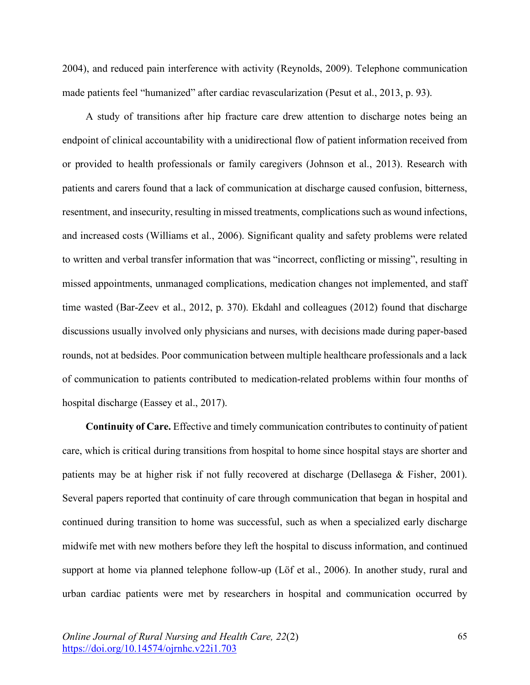2004), and reduced pain interference with activity (Reynolds, 2009). Telephone communication made patients feel "humanized" after cardiac revascularization (Pesut et al., 2013, p. 93).

A study of transitions after hip fracture care drew attention to discharge notes being an endpoint of clinical accountability with a unidirectional flow of patient information received from or provided to health professionals or family caregivers (Johnson et al., 2013). Research with patients and carers found that a lack of communication at discharge caused confusion, bitterness, resentment, and insecurity, resulting in missed treatments, complications such as wound infections, and increased costs (Williams et al., 2006). Significant quality and safety problems were related to written and verbal transfer information that was "incorrect, conflicting or missing", resulting in missed appointments, unmanaged complications, medication changes not implemented, and staff time wasted (Bar-Zeev et al., 2012, p. 370). Ekdahl and colleagues (2012) found that discharge discussions usually involved only physicians and nurses, with decisions made during paper-based rounds, not at bedsides. Poor communication between multiple healthcare professionals and a lack of communication to patients contributed to medication-related problems within four months of hospital discharge (Eassey et al., 2017).

**Continuity of Care.** Effective and timely communication contributes to continuity of patient care, which is critical during transitions from hospital to home since hospital stays are shorter and patients may be at higher risk if not fully recovered at discharge (Dellasega & Fisher, 2001). Several papers reported that continuity of care through communication that began in hospital and continued during transition to home was successful, such as when a specialized early discharge midwife met with new mothers before they left the hospital to discuss information, and continued support at home via planned telephone follow-up (Löf et al., 2006). In another study, rural and urban cardiac patients were met by researchers in hospital and communication occurred by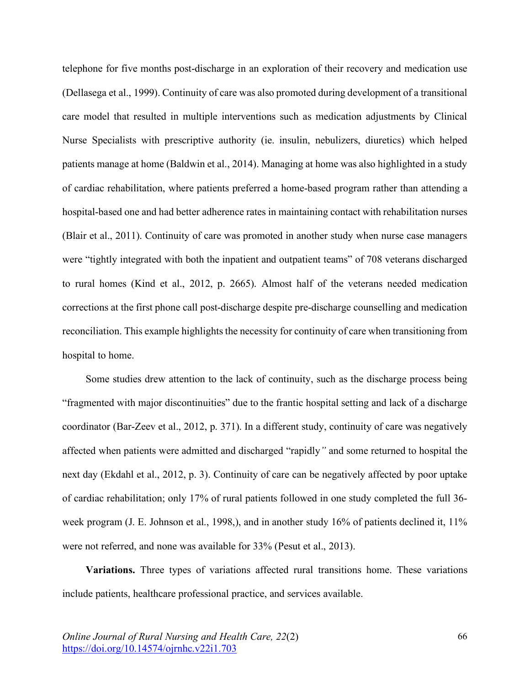telephone for five months post-discharge in an exploration of their recovery and medication use (Dellasega et al., 1999). Continuity of care was also promoted during development of a transitional care model that resulted in multiple interventions such as medication adjustments by Clinical Nurse Specialists with prescriptive authority (ie. insulin, nebulizers, diuretics) which helped patients manage at home (Baldwin et al., 2014). Managing at home was also highlighted in a study of cardiac rehabilitation, where patients preferred a home-based program rather than attending a hospital-based one and had better adherence rates in maintaining contact with rehabilitation nurses (Blair et al., 2011). Continuity of care was promoted in another study when nurse case managers were "tightly integrated with both the inpatient and outpatient teams" of 708 veterans discharged to rural homes (Kind et al., 2012, p. 2665). Almost half of the veterans needed medication corrections at the first phone call post-discharge despite pre-discharge counselling and medication reconciliation. This example highlights the necessity for continuity of care when transitioning from hospital to home.

Some studies drew attention to the lack of continuity, such as the discharge process being "fragmented with major discontinuities" due to the frantic hospital setting and lack of a discharge coordinator (Bar-Zeev et al., 2012, p. 371). In a different study, continuity of care was negatively affected when patients were admitted and discharged "rapidly*"* and some returned to hospital the next day (Ekdahl et al., 2012, p. 3). Continuity of care can be negatively affected by poor uptake of cardiac rehabilitation; only 17% of rural patients followed in one study completed the full 36 week program (J. E. Johnson et al., 1998,), and in another study 16% of patients declined it, 11% were not referred, and none was available for 33% (Pesut et al., 2013).

**Variations.** Three types of variations affected rural transitions home. These variations include patients, healthcare professional practice, and services available.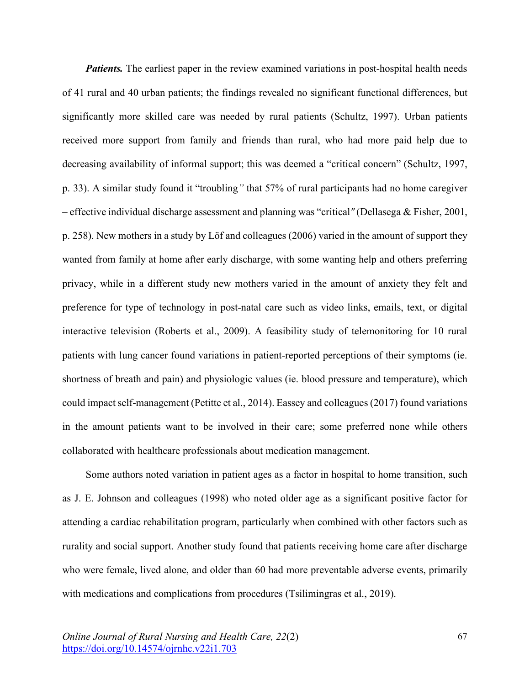*Patients.* The earliest paper in the review examined variations in post-hospital health needs of 41 rural and 40 urban patients; the findings revealed no significant functional differences, but significantly more skilled care was needed by rural patients (Schultz, 1997). Urban patients received more support from family and friends than rural, who had more paid help due to decreasing availability of informal support; this was deemed a "critical concern" (Schultz, 1997, p. 33). A similar study found it "troubling*"* that 57% of rural participants had no home caregiver – effective individual discharge assessment and planning was "critical*"* (Dellasega & Fisher, 2001, p. 258). New mothers in a study by Löf and colleagues (2006) varied in the amount of support they wanted from family at home after early discharge, with some wanting help and others preferring privacy, while in a different study new mothers varied in the amount of anxiety they felt and preference for type of technology in post-natal care such as video links, emails, text, or digital interactive television (Roberts et al., 2009). A feasibility study of telemonitoring for 10 rural patients with lung cancer found variations in patient-reported perceptions of their symptoms (ie. shortness of breath and pain) and physiologic values (ie. blood pressure and temperature), which could impact self-management (Petitte et al., 2014). Eassey and colleagues (2017) found variations in the amount patients want to be involved in their care; some preferred none while others collaborated with healthcare professionals about medication management.

Some authors noted variation in patient ages as a factor in hospital to home transition, such as J. E. Johnson and colleagues (1998) who noted older age as a significant positive factor for attending a cardiac rehabilitation program, particularly when combined with other factors such as rurality and social support. Another study found that patients receiving home care after discharge who were female, lived alone, and older than 60 had more preventable adverse events, primarily with medications and complications from procedures (Tsilimingras et al., 2019).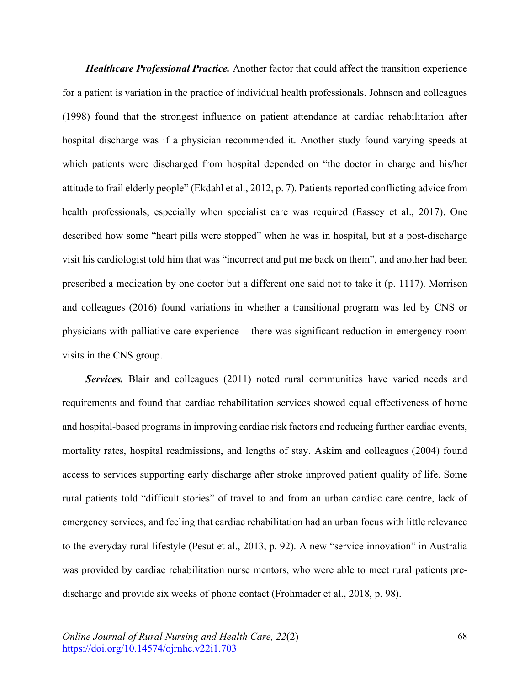*Healthcare Professional Practice.* Another factor that could affect the transition experience for a patient is variation in the practice of individual health professionals. Johnson and colleagues (1998) found that the strongest influence on patient attendance at cardiac rehabilitation after hospital discharge was if a physician recommended it. Another study found varying speeds at which patients were discharged from hospital depended on "the doctor in charge and his/her attitude to frail elderly people" (Ekdahl et al., 2012, p. 7). Patients reported conflicting advice from health professionals, especially when specialist care was required (Eassey et al., 2017). One described how some "heart pills were stopped" when he was in hospital, but at a post-discharge visit his cardiologist told him that was "incorrect and put me back on them", and another had been prescribed a medication by one doctor but a different one said not to take it (p. 1117). Morrison and colleagues (2016) found variations in whether a transitional program was led by CNS or physicians with palliative care experience – there was significant reduction in emergency room visits in the CNS group.

*Services.* Blair and colleagues (2011) noted rural communities have varied needs and requirements and found that cardiac rehabilitation services showed equal effectiveness of home and hospital-based programs in improving cardiac risk factors and reducing further cardiac events, mortality rates, hospital readmissions, and lengths of stay. Askim and colleagues (2004) found access to services supporting early discharge after stroke improved patient quality of life. Some rural patients told "difficult stories" of travel to and from an urban cardiac care centre, lack of emergency services, and feeling that cardiac rehabilitation had an urban focus with little relevance to the everyday rural lifestyle (Pesut et al., 2013, p. 92). A new "service innovation" in Australia was provided by cardiac rehabilitation nurse mentors, who were able to meet rural patients predischarge and provide six weeks of phone contact (Frohmader et al., 2018, p. 98).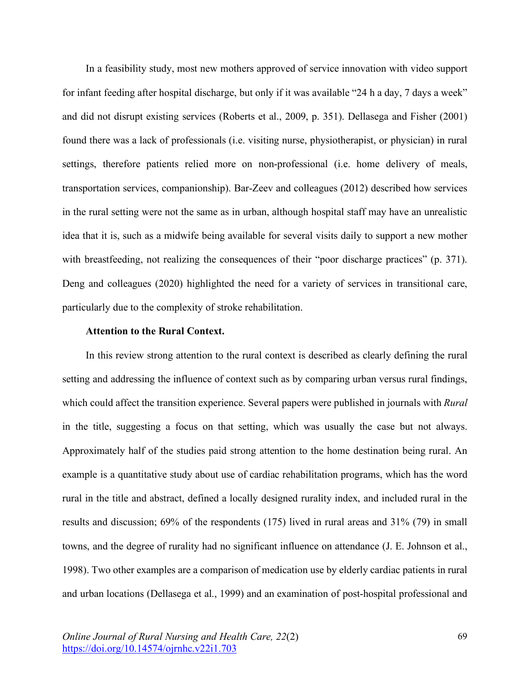In a feasibility study, most new mothers approved of service innovation with video support for infant feeding after hospital discharge, but only if it was available "24 h a day, 7 days a week" and did not disrupt existing services (Roberts et al., 2009, p. 351). Dellasega and Fisher (2001) found there was a lack of professionals (i.e. visiting nurse, physiotherapist, or physician) in rural settings, therefore patients relied more on non-professional (i.e. home delivery of meals, transportation services, companionship). Bar-Zeev and colleagues (2012) described how services in the rural setting were not the same as in urban, although hospital staff may have an unrealistic idea that it is, such as a midwife being available for several visits daily to support a new mother with breastfeeding, not realizing the consequences of their "poor discharge practices" (p. 371). Deng and colleagues (2020) highlighted the need for a variety of services in transitional care, particularly due to the complexity of stroke rehabilitation.

#### **Attention to the Rural Context.**

In this review strong attention to the rural context is described as clearly defining the rural setting and addressing the influence of context such as by comparing urban versus rural findings, which could affect the transition experience. Several papers were published in journals with *Rural* in the title, suggesting a focus on that setting, which was usually the case but not always. Approximately half of the studies paid strong attention to the home destination being rural. An example is a quantitative study about use of cardiac rehabilitation programs, which has the word rural in the title and abstract, defined a locally designed rurality index, and included rural in the results and discussion; 69% of the respondents (175) lived in rural areas and 31% (79) in small towns, and the degree of rurality had no significant influence on attendance (J. E. Johnson et al., 1998). Two other examples are a comparison of medication use by elderly cardiac patients in rural and urban locations (Dellasega et al., 1999) and an examination of post-hospital professional and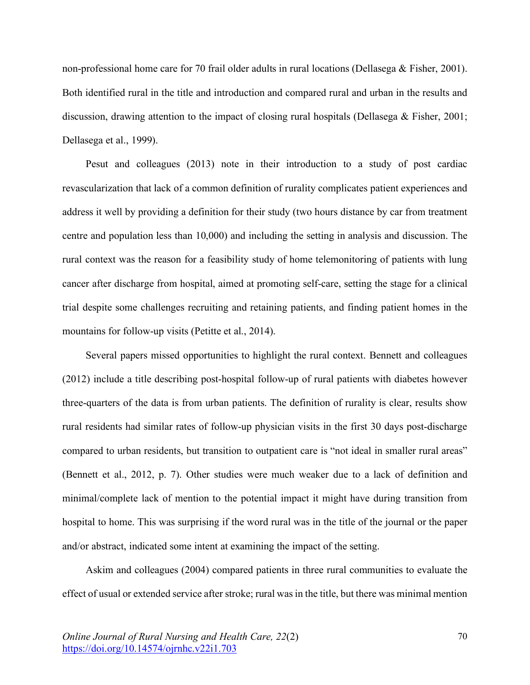non-professional home care for 70 frail older adults in rural locations (Dellasega & Fisher, 2001). Both identified rural in the title and introduction and compared rural and urban in the results and discussion, drawing attention to the impact of closing rural hospitals (Dellasega & Fisher, 2001; Dellasega et al., 1999).

Pesut and colleagues (2013) note in their introduction to a study of post cardiac revascularization that lack of a common definition of rurality complicates patient experiences and address it well by providing a definition for their study (two hours distance by car from treatment centre and population less than 10,000) and including the setting in analysis and discussion. The rural context was the reason for a feasibility study of home telemonitoring of patients with lung cancer after discharge from hospital, aimed at promoting self-care, setting the stage for a clinical trial despite some challenges recruiting and retaining patients, and finding patient homes in the mountains for follow-up visits (Petitte et al., 2014).

Several papers missed opportunities to highlight the rural context. Bennett and colleagues (2012) include a title describing post-hospital follow-up of rural patients with diabetes however three-quarters of the data is from urban patients. The definition of rurality is clear, results show rural residents had similar rates of follow-up physician visits in the first 30 days post-discharge compared to urban residents, but transition to outpatient care is "not ideal in smaller rural areas" (Bennett et al., 2012, p. 7). Other studies were much weaker due to a lack of definition and minimal/complete lack of mention to the potential impact it might have during transition from hospital to home. This was surprising if the word rural was in the title of the journal or the paper and/or abstract, indicated some intent at examining the impact of the setting.

Askim and colleagues (2004) compared patients in three rural communities to evaluate the effect of usual or extended service after stroke; rural was in the title, but there was minimal mention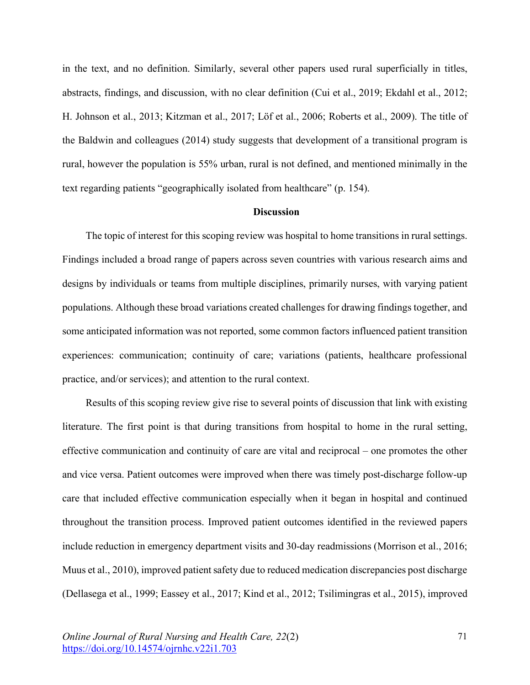in the text, and no definition. Similarly, several other papers used rural superficially in titles, abstracts, findings, and discussion, with no clear definition (Cui et al., 2019; Ekdahl et al., 2012; H. Johnson et al., 2013; Kitzman et al., 2017; Löf et al., 2006; Roberts et al., 2009). The title of the Baldwin and colleagues (2014) study suggests that development of a transitional program is rural, however the population is 55% urban, rural is not defined, and mentioned minimally in the text regarding patients "geographically isolated from healthcare" (p. 154).

#### **Discussion**

The topic of interest for this scoping review was hospital to home transitions in rural settings. Findings included a broad range of papers across seven countries with various research aims and designs by individuals or teams from multiple disciplines, primarily nurses, with varying patient populations. Although these broad variations created challenges for drawing findings together, and some anticipated information was not reported, some common factors influenced patient transition experiences: communication; continuity of care; variations (patients, healthcare professional practice, and/or services); and attention to the rural context.

Results of this scoping review give rise to several points of discussion that link with existing literature. The first point is that during transitions from hospital to home in the rural setting, effective communication and continuity of care are vital and reciprocal – one promotes the other and vice versa. Patient outcomes were improved when there was timely post-discharge follow-up care that included effective communication especially when it began in hospital and continued throughout the transition process. Improved patient outcomes identified in the reviewed papers include reduction in emergency department visits and 30-day readmissions (Morrison et al., 2016; Muus et al., 2010), improved patient safety due to reduced medication discrepancies post discharge (Dellasega et al., 1999; Eassey et al., 2017; Kind et al., 2012; Tsilimingras et al., 2015), improved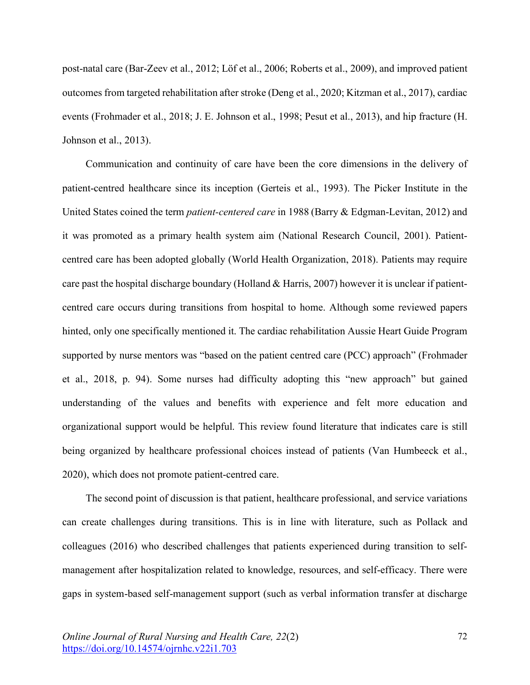post-natal care (Bar-Zeev et al., 2012; Löf et al., 2006; Roberts et al., 2009), and improved patient outcomes from targeted rehabilitation after stroke (Deng et al., 2020; Kitzman et al., 2017), cardiac events (Frohmader et al., 2018; J. E. Johnson et al., 1998; Pesut et al., 2013), and hip fracture (H. Johnson et al., 2013).

Communication and continuity of care have been the core dimensions in the delivery of patient-centred healthcare since its inception (Gerteis et al., 1993). The Picker Institute in the United States coined the term *patient-centered care* in 1988 (Barry & Edgman-Levitan, 2012) and it was promoted as a primary health system aim (National Research Council, 2001). Patientcentred care has been adopted globally (World Health Organization, 2018). Patients may require care past the hospital discharge boundary (Holland & Harris, 2007) however it is unclear if patientcentred care occurs during transitions from hospital to home. Although some reviewed papers hinted, only one specifically mentioned it. The cardiac rehabilitation Aussie Heart Guide Program supported by nurse mentors was "based on the patient centred care (PCC) approach" (Frohmader et al., 2018, p. 94). Some nurses had difficulty adopting this "new approach" but gained understanding of the values and benefits with experience and felt more education and organizational support would be helpful. This review found literature that indicates care is still being organized by healthcare professional choices instead of patients (Van Humbeeck et al., 2020), which does not promote patient-centred care.

The second point of discussion is that patient, healthcare professional, and service variations can create challenges during transitions. This is in line with literature, such as Pollack and colleagues (2016) who described challenges that patients experienced during transition to selfmanagement after hospitalization related to knowledge, resources, and self-efficacy. There were gaps in system-based self-management support (such as verbal information transfer at discharge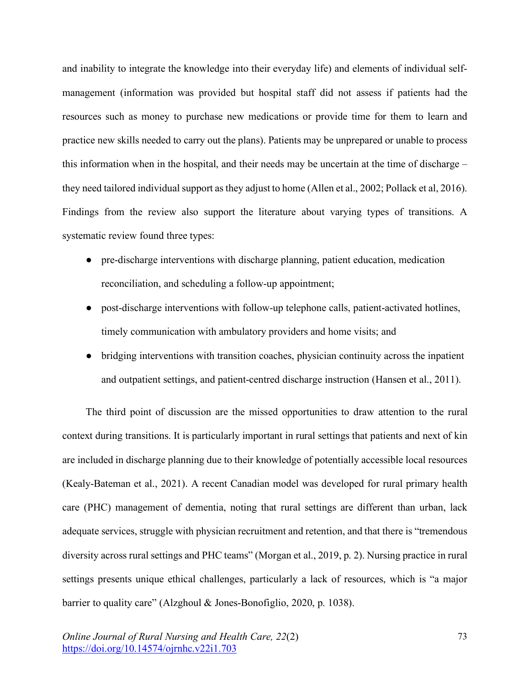and inability to integrate the knowledge into their everyday life) and elements of individual selfmanagement (information was provided but hospital staff did not assess if patients had the resources such as money to purchase new medications or provide time for them to learn and practice new skills needed to carry out the plans). Patients may be unprepared or unable to process this information when in the hospital, and their needs may be uncertain at the time of discharge – they need tailored individual support as they adjust to home (Allen et al., 2002; Pollack et al, 2016). Findings from the review also support the literature about varying types of transitions. A systematic review found three types:

- pre-discharge interventions with discharge planning, patient education, medication reconciliation, and scheduling a follow-up appointment;
- post-discharge interventions with follow-up telephone calls, patient-activated hotlines, timely communication with ambulatory providers and home visits; and
- bridging interventions with transition coaches, physician continuity across the inpatient and outpatient settings, and patient-centred discharge instruction (Hansen et al., 2011).

The third point of discussion are the missed opportunities to draw attention to the rural context during transitions. It is particularly important in rural settings that patients and next of kin are included in discharge planning due to their knowledge of potentially accessible local resources (Kealy-Bateman et al., 2021). A recent Canadian model was developed for rural primary health care (PHC) management of dementia, noting that rural settings are different than urban, lack adequate services, struggle with physician recruitment and retention, and that there is "tremendous diversity across rural settings and PHC teams" (Morgan et al., 2019, p. 2). Nursing practice in rural settings presents unique ethical challenges, particularly a lack of resources, which is "a major barrier to quality care" (Alzghoul & Jones-Bonofiglio, 2020, p. 1038).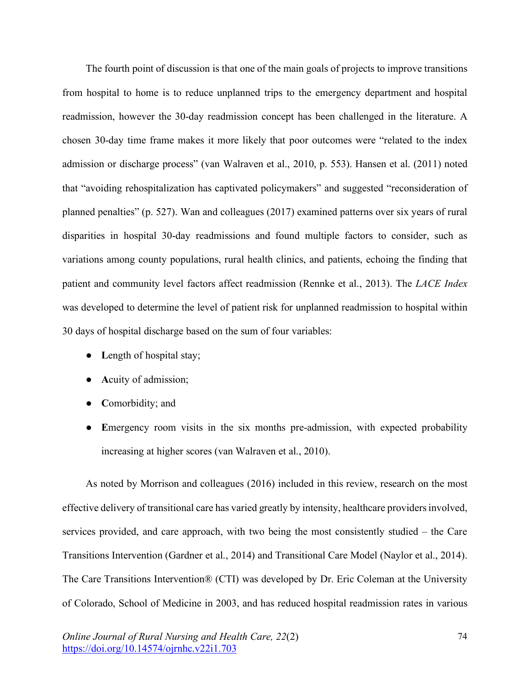The fourth point of discussion is that one of the main goals of projects to improve transitions from hospital to home is to reduce unplanned trips to the emergency department and hospital readmission, however the 30-day readmission concept has been challenged in the literature. A chosen 30-day time frame makes it more likely that poor outcomes were "related to the index admission or discharge process" (van Walraven et al., 2010, p. 553). Hansen et al. (2011) noted that "avoiding rehospitalization has captivated policymakers" and suggested "reconsideration of planned penalties" (p. 527). Wan and colleagues (2017) examined patterns over six years of rural disparities in hospital 30-day readmissions and found multiple factors to consider, such as variations among county populations, rural health clinics, and patients, echoing the finding that patient and community level factors affect readmission (Rennke et al., 2013). The *LACE Index* was developed to determine the level of patient risk for unplanned readmission to hospital within 30 days of hospital discharge based on the sum of four variables:

- Length of hospital stay;
- **A**cuity of admission;
- **C**omorbidity; and
- Emergency room visits in the six months pre-admission, with expected probability increasing at higher scores (van Walraven et al., 2010).

As noted by Morrison and colleagues (2016) included in this review, research on the most effective delivery of transitional care has varied greatly by intensity, healthcare providers involved, services provided, and care approach, with two being the most consistently studied – the Care Transitions Intervention (Gardner et al., 2014) and Transitional Care Model (Naylor et al., 2014). The Care Transitions Intervention® (CTI) was developed by Dr. Eric Coleman at the University of Colorado, School of Medicine in 2003, and has reduced hospital readmission rates in various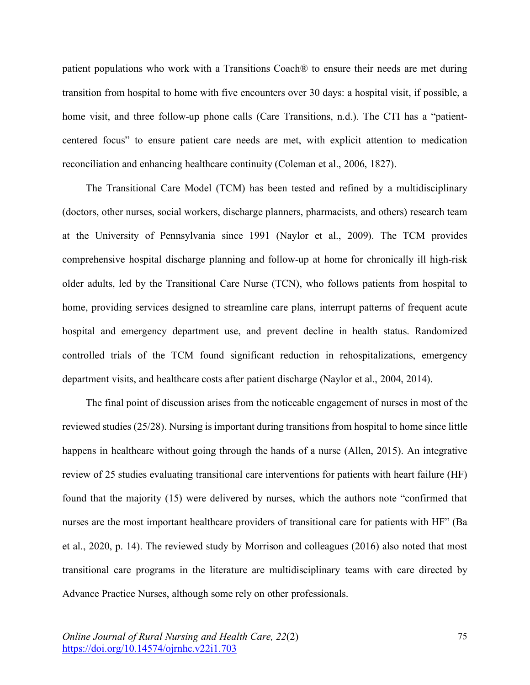patient populations who work with a Transitions Coach® to ensure their needs are met during transition from hospital to home with five encounters over 30 days: a hospital visit, if possible, a home visit, and three follow-up phone calls (Care Transitions, n.d.). The CTI has a "patientcentered focus" to ensure patient care needs are met, with explicit attention to medication reconciliation and enhancing healthcare continuity (Coleman et al., 2006, 1827).

The Transitional Care Model (TCM) has been tested and refined by a multidisciplinary (doctors, other nurses, social workers, discharge planners, pharmacists, and others) research team at the University of Pennsylvania since 1991 (Naylor et al., 2009). The TCM provides comprehensive hospital discharge planning and follow-up at home for chronically ill high-risk older adults, led by the Transitional Care Nurse (TCN), who follows patients from hospital to home, providing services designed to streamline care plans, interrupt patterns of frequent acute hospital and emergency department use, and prevent decline in health status. Randomized controlled trials of the TCM found significant reduction in rehospitalizations, emergency department visits, and healthcare costs after patient discharge (Naylor et al., 2004, 2014).

The final point of discussion arises from the noticeable engagement of nurses in most of the reviewed studies (25/28). Nursing is important during transitions from hospital to home since little happens in healthcare without going through the hands of a nurse (Allen, 2015). An integrative review of 25 studies evaluating transitional care interventions for patients with heart failure (HF) found that the majority (15) were delivered by nurses, which the authors note "confirmed that nurses are the most important healthcare providers of transitional care for patients with HF" (Ba et al., 2020, p. 14). The reviewed study by Morrison and colleagues (2016) also noted that most transitional care programs in the literature are multidisciplinary teams with care directed by Advance Practice Nurses, although some rely on other professionals.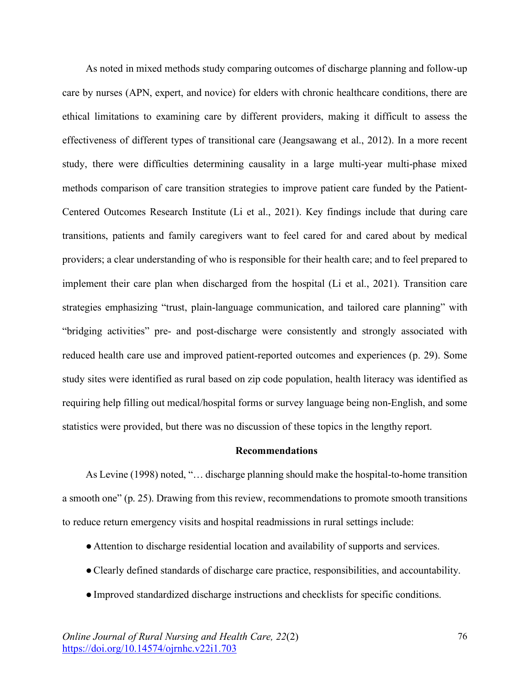As noted in mixed methods study comparing outcomes of discharge planning and follow-up care by nurses (APN, expert, and novice) for elders with chronic healthcare conditions, there are ethical limitations to examining care by different providers, making it difficult to assess the effectiveness of different types of transitional care (Jeangsawang et al., 2012). In a more recent study, there were difficulties determining causality in a large multi-year multi-phase mixed methods comparison of care transition strategies to improve patient care funded by the Patient-Centered Outcomes Research Institute (Li et al., 2021). Key findings include that during care transitions, patients and family caregivers want to feel cared for and cared about by medical providers; a clear understanding of who is responsible for their health care; and to feel prepared to implement their care plan when discharged from the hospital (Li et al., 2021). Transition care strategies emphasizing "trust, plain-language communication, and tailored care planning" with "bridging activities" pre- and post-discharge were consistently and strongly associated with reduced health care use and improved patient-reported outcomes and experiences (p. 29). Some study sites were identified as rural based on zip code population, health literacy was identified as requiring help filling out medical/hospital forms or survey language being non-English, and some statistics were provided, but there was no discussion of these topics in the lengthy report.

#### **Recommendations**

As Levine (1998) noted, "… discharge planning should make the hospital-to-home transition a smooth one" (p. 25). Drawing from this review, recommendations to promote smooth transitions to reduce return emergency visits and hospital readmissions in rural settings include:

- ●Attention to discharge residential location and availability of supports and services.
- ●Clearly defined standards of discharge care practice, responsibilities, and accountability.
- ●Improved standardized discharge instructions and checklists for specific conditions.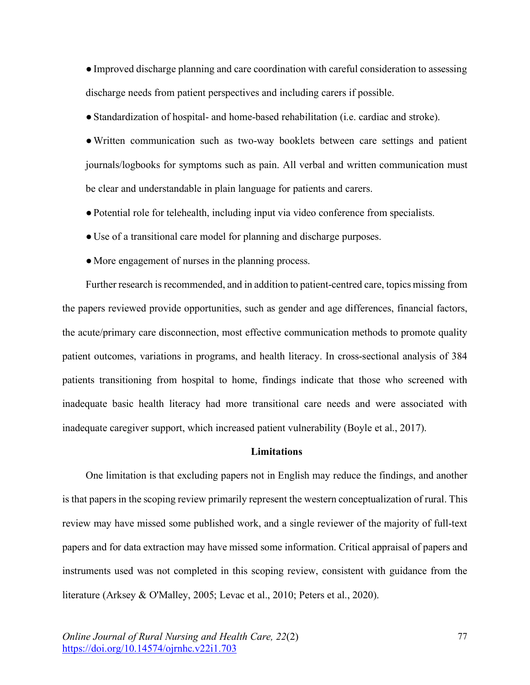●Improved discharge planning and care coordination with careful consideration to assessing discharge needs from patient perspectives and including carers if possible.

●Standardization of hospital- and home-based rehabilitation (i.e. cardiac and stroke).

●Written communication such as two-way booklets between care settings and patient journals/logbooks for symptoms such as pain. All verbal and written communication must be clear and understandable in plain language for patients and carers.

- ●Potential role for telehealth, including input via video conference from specialists.
- ●Use of a transitional care model for planning and discharge purposes.
- More engagement of nurses in the planning process.

Further research is recommended, and in addition to patient-centred care, topics missing from the papers reviewed provide opportunities, such as gender and age differences, financial factors, the acute/primary care disconnection, most effective communication methods to promote quality patient outcomes, variations in programs, and health literacy. In cross-sectional analysis of 384 patients transitioning from hospital to home, findings indicate that those who screened with inadequate basic health literacy had more transitional care needs and were associated with inadequate caregiver support, which increased patient vulnerability (Boyle et al., 2017).

#### **Limitations**

One limitation is that excluding papers not in English may reduce the findings, and another is that papers in the scoping review primarily represent the western conceptualization of rural. This review may have missed some published work, and a single reviewer of the majority of full-text papers and for data extraction may have missed some information. Critical appraisal of papers and instruments used was not completed in this scoping review, consistent with guidance from the literature (Arksey & O'Malley, 2005; Levac et al., 2010; Peters et al., 2020).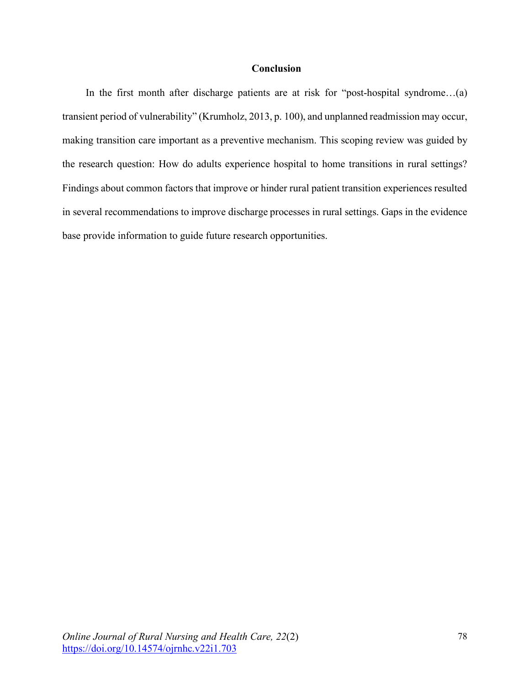# **Conclusion**

In the first month after discharge patients are at risk for "post-hospital syndrome...(a) transient period of vulnerability" (Krumholz, 2013, p. 100), and unplanned readmission may occur, making transition care important as a preventive mechanism. This scoping review was guided by the research question: How do adults experience hospital to home transitions in rural settings? Findings about common factors that improve or hinder rural patient transition experiences resulted in several recommendations to improve discharge processes in rural settings. Gaps in the evidence base provide information to guide future research opportunities.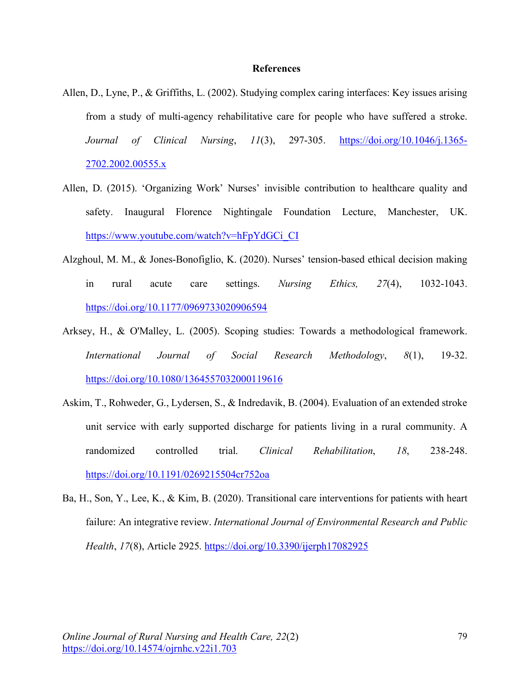#### **References**

- Allen, D., Lyne, P., & Griffiths, L. (2002). Studying complex caring interfaces: Key issues arising from a study of multi-agency rehabilitative care for people who have suffered a stroke. *Journal of Clinical Nursing*, *11*(3), 297-305. https://doi.org/10.1046/j.1365- 2702.2002.00555.x
- Allen, D. (2015). 'Organizing Work' Nurses' invisible contribution to healthcare quality and safety. Inaugural Florence Nightingale Foundation Lecture, Manchester, UK. https://www.youtube.com/watch?v=hFpYdGCi\_CI
- Alzghoul, M. M., & Jones-Bonofiglio, K. (2020). Nurses' tension-based ethical decision making in rural acute care settings. *Nursing Ethics, 27*(4), 1032-1043. https://doi.org/10.1177/0969733020906594
- Arksey, H., & O'Malley, L. (2005). Scoping studies: Towards a methodological framework. *International Journal of Social Research Methodology*, *8*(1), 19-32. https://doi.org/10.1080/1364557032000119616
- Askim, T., Rohweder, G., Lydersen, S., & Indredavik, B. (2004). Evaluation of an extended stroke unit service with early supported discharge for patients living in a rural community. A randomized controlled trial. *Clinical Rehabilitation*, *18*, 238-248. https://doi.org/10.1191/0269215504cr752oa
- Ba, H., Son, Y., Lee, K., & Kim, B. (2020). Transitional care interventions for patients with heart failure: An integrative review. *International Journal of Environmental Research and Public Health*, *17*(8), Article 2925. https://doi.org/10.3390/ijerph17082925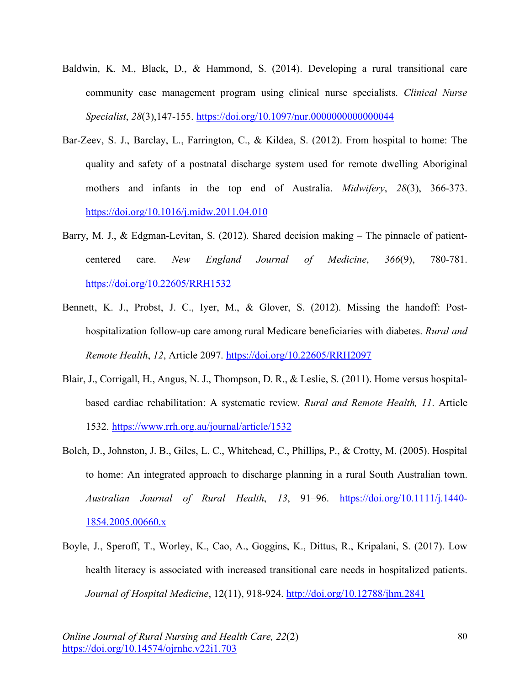- Baldwin, K. M., Black, D., & Hammond, S. (2014). Developing a rural transitional care community case management program using clinical nurse specialists. *Clinical Nurse Specialist*, *28*(3),147-155. https://doi.org/10.1097/nur.0000000000000044
- Bar-Zeev, S. J., Barclay, L., Farrington, C., & Kildea, S. (2012). From hospital to home: The quality and safety of a postnatal discharge system used for remote dwelling Aboriginal mothers and infants in the top end of Australia. *Midwifery*, *28*(3), 366-373. https://doi.org/10.1016/j.midw.2011.04.010
- Barry, M. J., & Edgman-Levitan, S. (2012). Shared decision making The pinnacle of patientcentered care. *New England Journal of Medicine*, *366*(9), 780-781. https://doi.org/10.22605/RRH1532
- Bennett, K. J., Probst, J. C., Iyer, M., & Glover, S. (2012). Missing the handoff: Posthospitalization follow-up care among rural Medicare beneficiaries with diabetes. *Rural and Remote Health*, *12*, Article 2097. https://doi.org/10.22605/RRH2097
- Blair, J., Corrigall, H., Angus, N. J., Thompson, D. R., & Leslie, S. (2011). Home versus hospitalbased cardiac rehabilitation: A systematic review. *Rural and Remote Health, 11*. Article 1532. https://www.rrh.org.au/journal/article/1532
- Bolch, D., Johnston, J. B., Giles, L. C., Whitehead, C., Phillips, P., & Crotty, M. (2005). Hospital to home: An integrated approach to discharge planning in a rural South Australian town. *Australian Journal of Rural Health*, *13*, 91–96. https://doi.org/10.1111/j.1440- 1854.2005.00660.x
- Boyle, J., Speroff, T., Worley, K., Cao, A., Goggins, K., Dittus, R., Kripalani, S. (2017). Low health literacy is associated with increased transitional care needs in hospitalized patients. *Journal of Hospital Medicine*, 12(11), 918-924. http://doi.org/10.12788/jhm.2841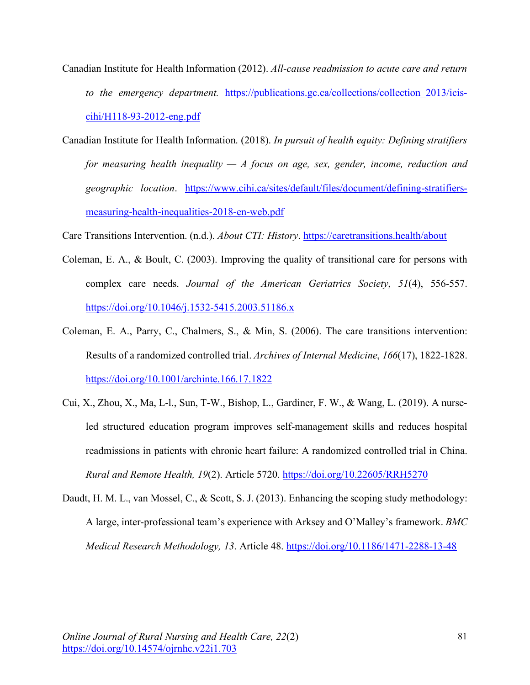- Canadian Institute for Health Information (2012). *All-cause readmission to acute care and return to the emergency department.* https://publications.gc.ca/collections/collection 2013/iciscihi/H118-93-2012-eng.pdf
- Canadian Institute for Health Information. (2018). *In pursuit of health equity: Defining stratifiers for measuring health inequality — A focus on age, sex, gender, income, reduction and geographic location*. https://www.cihi.ca/sites/default/files/document/defining-stratifiersmeasuring-health-inequalities-2018-en-web.pdf

Care Transitions Intervention. (n.d.). *About CTI: History*. https://caretransitions.health/about

- Coleman, E. A., & Boult, C. (2003). Improving the quality of transitional care for persons with complex care needs. *Journal of the American Geriatrics Society*, *51*(4), 556-557. https://doi.org/10.1046/j.1532-5415.2003.51186.x
- Coleman, E. A., Parry, C., Chalmers, S., & Min, S. (2006). The care transitions intervention: Results of a randomized controlled trial. *Archives of Internal Medicine*, *166*(17), 1822-1828. https://doi.org/10.1001/archinte.166.17.1822
- Cui, X., Zhou, X., Ma, L-l., Sun, T-W., Bishop, L., Gardiner, F. W., & Wang, L. (2019). A nurseled structured education program improves self-management skills and reduces hospital readmissions in patients with chronic heart failure: A randomized controlled trial in China. *Rural and Remote Health, 19*(2). Article 5720. https://doi.org/10.22605/RRH5270
- Daudt, H. M. L., van Mossel, C., & Scott, S. J. (2013). Enhancing the scoping study methodology: A large, inter-professional team's experience with Arksey and O'Malley's framework. *BMC Medical Research Methodology, 13*. Article 48. https://doi.org/10.1186/1471-2288-13-48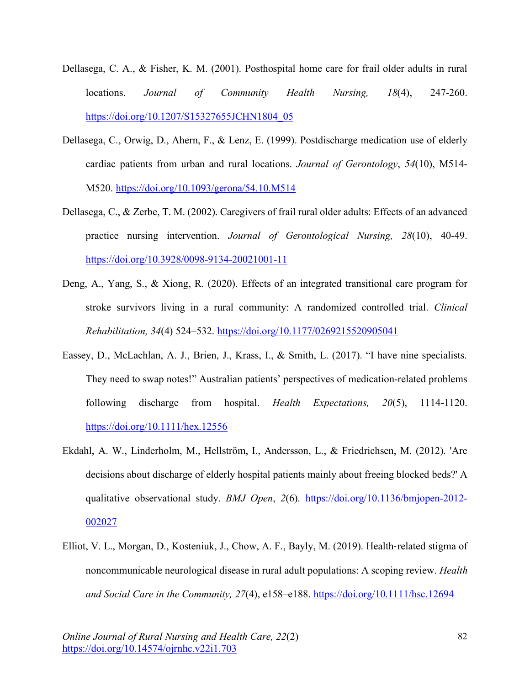- Dellasega, C. A., & Fisher, K. M. (2001). Posthospital home care for frail older adults in rural locations. *Journal of Community Health Nursing, 18*(4), 247-260. https://doi.org/10.1207/S15327655JCHN1804\_05
- Dellasega, C., Orwig, D., Ahern, F., & Lenz, E. (1999). Postdischarge medication use of elderly cardiac patients from urban and rural locations. *Journal of Gerontology*, *54*(10), M514- M520. https://doi.org/10.1093/gerona/54.10.M514
- Dellasega, C., & Zerbe, T. M. (2002). Caregivers of frail rural older adults: Effects of an advanced practice nursing intervention. *Journal of Gerontological Nursing, 28*(10), 40-49. https://doi.org/10.3928/0098-9134-20021001-11
- Deng, A., Yang, S., & Xiong, R. (2020). Effects of an integrated transitional care program for stroke survivors living in a rural community: A randomized controlled trial. *Clinical Rehabilitation, 34*(4) 524–532. https://doi.org/10.1177/0269215520905041
- Eassey, D., McLachlan, A. J., Brien, J., Krass, I., & Smith, L. (2017). "I have nine specialists. They need to swap notes!" Australian patients' perspectives of medication-related problems following discharge from hospital. *Health Expectations, 20*(5), 1114-1120. https://doi.org/10.1111/hex.12556
- Ekdahl, A. W., Linderholm, M., Hellström, I., Andersson, L., & Friedrichsen, M. (2012). 'Are decisions about discharge of elderly hospital patients mainly about freeing blocked beds?' A qualitative observational study. *BMJ Open*, *2*(6). https://doi.org/10.1136/bmjopen-2012- 002027
- Elliot, V. L., Morgan, D., Kosteniuk, J., Chow, A. F., Bayly, M. (2019). Health-related stigma of noncommunicable neurological disease in rural adult populations: A scoping review. *Health and Social Care in the Community, 27*(4), e158–e188. https://doi.org/10.1111/hsc.12694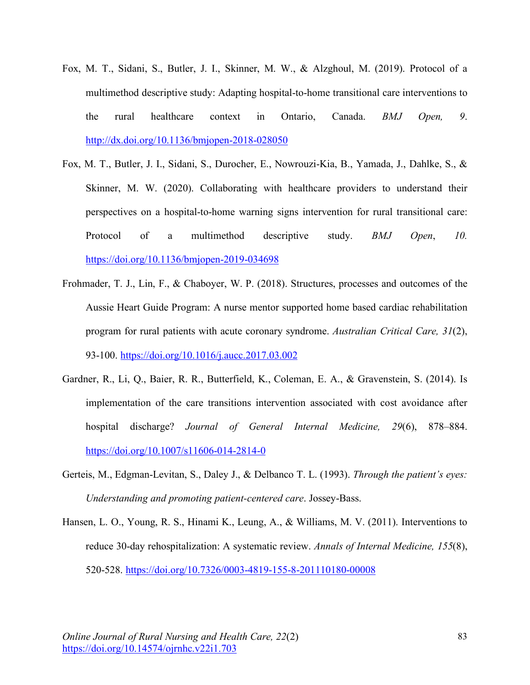- Fox, M. T., Sidani, S., Butler, J. I., Skinner, M. W., & Alzghoul, M. (2019). Protocol of a multimethod descriptive study: Adapting hospital-to-home transitional care interventions to the rural healthcare context in Ontario, Canada. *BMJ Open, 9*. http://dx.doi.org/10.1136/bmjopen-2018-028050
- Fox, M. T., Butler, J. I., Sidani, S., Durocher, E., Nowrouzi-Kia, B., Yamada, J., Dahlke, S., & Skinner, M. W. (2020). Collaborating with healthcare providers to understand their perspectives on a hospital-to-home warning signs intervention for rural transitional care: Protocol of a multimethod descriptive study. *BMJ Open*, *10.*  https://doi.org/10.1136/bmjopen-2019-034698
- Frohmader, T. J., Lin, F., & Chaboyer, W. P. (2018). Structures, processes and outcomes of the Aussie Heart Guide Program: A nurse mentor supported home based cardiac rehabilitation program for rural patients with acute coronary syndrome. *Australian Critical Care, 31*(2), 93-100. https://doi.org/10.1016/j.aucc.2017.03.002
- Gardner, R., Li, Q., Baier, R. R., Butterfield, K., Coleman, E. A., & Gravenstein, S. (2014). Is implementation of the care transitions intervention associated with cost avoidance after hospital discharge? *Journal of General Internal Medicine, 29*(6), 878–884. https://doi.org/10.1007/s11606-014-2814-0
- Gerteis, M., Edgman-Levitan, S., Daley J., & Delbanco T. L. (1993). *Through the patient's eyes: Understanding and promoting patient-centered care*. Jossey-Bass.
- Hansen, L. O., Young, R. S., Hinami K., Leung, A., & Williams, M. V. (2011). Interventions to reduce 30-day rehospitalization: A systematic review. *Annals of Internal Medicine, 155*(8), 520-528. https://doi.org/10.7326/0003-4819-155-8-201110180-00008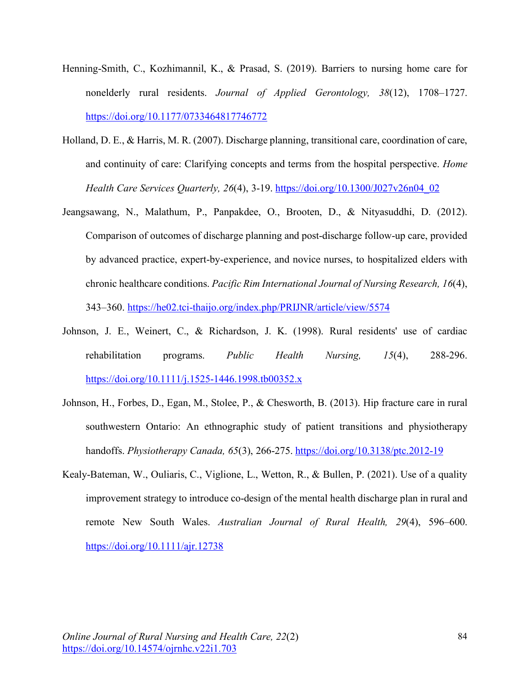- Henning-Smith, C., Kozhimannil, K., & Prasad, S. (2019). Barriers to nursing home care for nonelderly rural residents. *Journal of Applied Gerontology, 38*(12), 1708–1727. https://doi.org/10.1177/0733464817746772
- Holland, D. E., & Harris, M. R. (2007). Discharge planning, transitional care, coordination of care, and continuity of care: Clarifying concepts and terms from the hospital perspective. *Home Health Care Services Quarterly, 26*(4), 3-19. https://doi.org/10.1300/J027v26n04\_02
- Jeangsawang, N., Malathum, P., Panpakdee, O., Brooten, D., & Nityasuddhi, D. (2012). Comparison of outcomes of discharge planning and post-discharge follow-up care, provided by advanced practice, expert-by-experience, and novice nurses, to hospitalized elders with chronic healthcare conditions. *Pacific Rim International Journal of Nursing Research, 16*(4), 343–360. https://he02.tci-thaijo.org/index.php/PRIJNR/article/view/5574
- Johnson, J. E., Weinert, C., & Richardson, J. K. (1998). Rural residents' use of cardiac rehabilitation programs. *Public Health Nursing, 15*(4), 288-296. https://doi.org/10.1111/j.1525-1446.1998.tb00352.x
- Johnson, H., Forbes, D., Egan, M., Stolee, P., & Chesworth, B. (2013). Hip fracture care in rural southwestern Ontario: An ethnographic study of patient transitions and physiotherapy handoffs. *Physiotherapy Canada, 65*(3), 266-275. https://doi.org/10.3138/ptc.2012-19
- Kealy-Bateman, W., Ouliaris, C., Viglione, L., Wetton, R., & Bullen, P. (2021). Use of a quality improvement strategy to introduce co-design of the mental health discharge plan in rural and remote New South Wales. *Australian Journal of Rural Health, 29*(4), 596–600. https://doi.org/10.1111/ajr.12738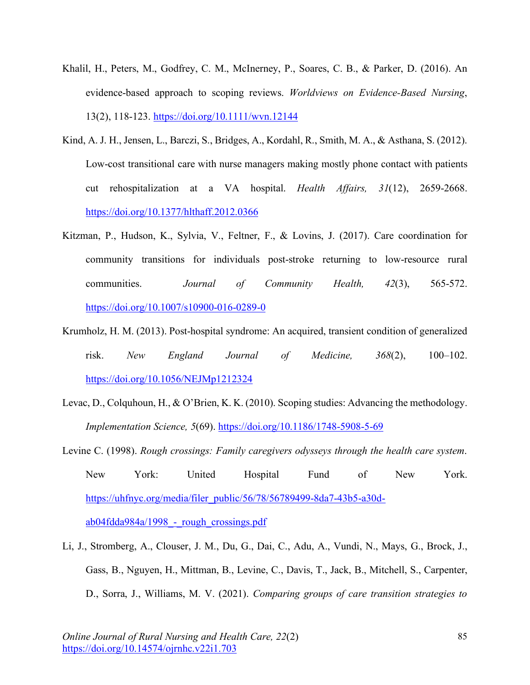- Khalil, H., Peters, M., Godfrey, C. M., McInerney, P., Soares, C. B., & Parker, D. (2016). An evidence-based approach to scoping reviews. *Worldviews on Evidence-Based Nursing*, 13(2), 118-123. https://doi.org/10.1111/wvn.12144
- Kind, A. J. H., Jensen, L., Barczi, S., Bridges, A., Kordahl, R., Smith, M. A., & Asthana, S. (2012). Low-cost transitional care with nurse managers making mostly phone contact with patients cut rehospitalization at a VA hospital. *Health Affairs, 31*(12), 2659-2668. https://doi.org/10.1377/hlthaff.2012.0366
- Kitzman, P., Hudson, K., Sylvia, V., Feltner, F., & Lovins, J. (2017). Care coordination for community transitions for individuals post-stroke returning to low-resource rural communities. *Journal of Community Health, 42*(3), 565-572. https://doi.org/10.1007/s10900-016-0289-0
- Krumholz, H. M. (2013). Post-hospital syndrome: An acquired, transient condition of generalized risk. *New England Journal of Medicine, 368*(2), 100–102. https://doi.org/10.1056/NEJMp1212324
- Levac, D., Colquhoun, H., & O'Brien, K. K. (2010). Scoping studies: Advancing the methodology. *Implementation Science, 5*(69). https://doi.org/10.1186/1748-5908-5-69
- Levine C. (1998). *Rough crossings: Family caregivers odysseys through the health care system*. New York: United Hospital Fund of New York. https://uhfnyc.org/media/filer\_public/56/78/56789499-8da7-43b5-a30d $ab04fdda984a/1998 - rough crossings.pdf$
- Li, J., Stromberg, A., Clouser, J. M., Du, G., Dai, C., Adu, A., Vundi, N., Mays, G., Brock, J., Gass, B., Nguyen, H., Mittman, B., Levine, C., Davis, T., Jack, B., Mitchell, S., Carpenter, D., Sorra, J., Williams, M. V. (2021). *Comparing groups of care transition strategies to*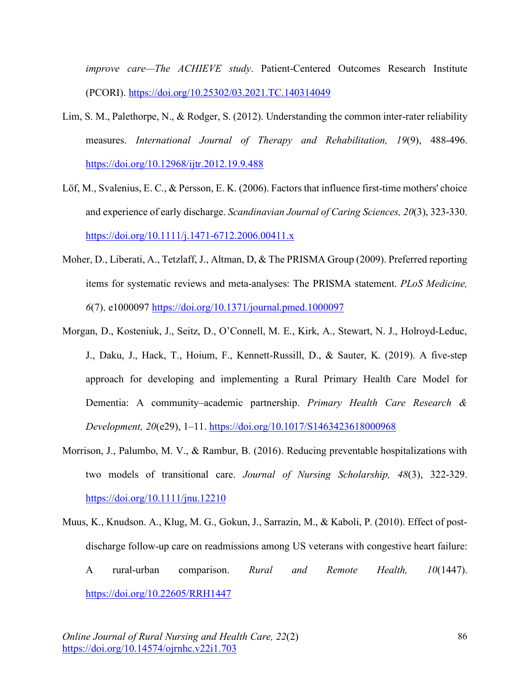*improve care—The ACHIEVE study*. Patient-Centered Outcomes Research Institute (PCORI). https://doi.org/10.25302/03.2021.TC.140314049

- Lim, S. M., Palethorpe, N., & Rodger, S. (2012). Understanding the common inter-rater reliability measures. *International Journal of Therapy and Rehabilitation, 19*(9), 488-496. https://doi.org/10.12968/ijtr.2012.19.9.488
- Löf, M., Svalenius, E. C., & Persson, E. K. (2006). Factors that influence first-time mothers' choice and experience of early discharge. *Scandinavian Journal of Caring Sciences, 20*(3), 323-330. https://doi.org/10.1111/j.1471-6712.2006.00411.x
- Moher, D., Liberati, A., Tetzlaff, J., Altman, D, & The PRISMA Group (2009). Preferred reporting items for systematic reviews and meta-analyses: The PRISMA statement. *PLoS Medicine, 6*(7). e1000097 https://doi.org/10.1371/journal.pmed.1000097
- Morgan, D., Kosteniuk, J., Seitz, D., O'Connell, M. E., Kirk, A., Stewart, N. J., Holroyd-Leduc, J., Daku, J., Hack, T., Hoium, F., Kennett-Russill, D., & Sauter, K. (2019). A five-step approach for developing and implementing a Rural Primary Health Care Model for Dementia: A community–academic partnership. *Primary Health Care Research & Development, 20*(e29), 1–11. https://doi.org/10.1017/S1463423618000968
- Morrison, J., Palumbo, M. V., & Rambur, B. (2016). Reducing preventable hospitalizations with two models of transitional care. *Journal of Nursing Scholarship, 48*(3), 322-329. https://doi.org/10.1111/jnu.12210
- Muus, K., Knudson. A., Klug, M. G., Gokun, J., Sarrazin, M., & Kaboli, P. (2010). Effect of postdischarge follow-up care on readmissions among US veterans with congestive heart failure: A rural-urban comparison. *Rural and Remote Health, 10*(1447). https://doi.org/10.22605/RRH1447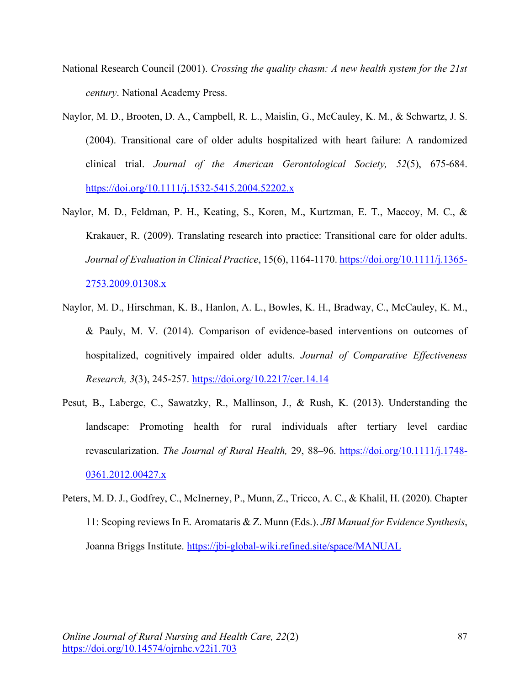- National Research Council (2001). *Crossing the quality chasm: A new health system for the 21st century*. National Academy Press.
- Naylor, M. D., Brooten, D. A., Campbell, R. L., Maislin, G., McCauley, K. M., & Schwartz, J. S. (2004). Transitional care of older adults hospitalized with heart failure: A randomized clinical trial. *Journal of the American Gerontological Society, 52*(5), 675-684. https://doi.org/10.1111/j.1532-5415.2004.52202.x
- Naylor, M. D., Feldman, P. H., Keating, S., Koren, M., Kurtzman, E. T., Maccoy, M. C., & Krakauer, R. (2009). Translating research into practice: Transitional care for older adults. *Journal of Evaluation in Clinical Practice*, 15(6), 1164-1170. https://doi.org/10.1111/j.1365- 2753.2009.01308.x
- Naylor, M. D., Hirschman, K. B., Hanlon, A. L., Bowles, K. H., Bradway, C., McCauley, K. M., & Pauly, M. V. (2014). Comparison of evidence-based interventions on outcomes of hospitalized, cognitively impaired older adults. *Journal of Comparative Effectiveness Research, 3*(3), 245-257. https://doi.org/10.2217/cer.14.14
- Pesut, B., Laberge, C., Sawatzky, R., Mallinson, J., & Rush, K. (2013). Understanding the landscape: Promoting health for rural individuals after tertiary level cardiac revascularization. *The Journal of Rural Health,* 29, 88–96. https://doi.org/10.1111/j.1748- 0361.2012.00427.x
- Peters, M. D. J., Godfrey, C., McInerney, P., Munn, Z., Tricco, A. C., & Khalil, H. (2020). Chapter 11: Scoping reviews In E. Aromataris & Z. Munn (Eds.). *JBI Manual for Evidence Synthesis*, Joanna Briggs Institute. https://jbi-global-wiki.refined.site/space/MANUAL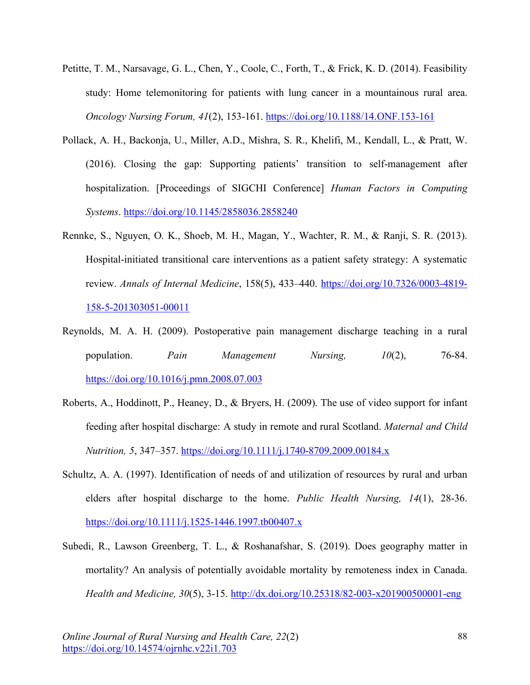- Petitte, T. M., Narsavage, G. L., Chen, Y., Coole, C., Forth, T., & Frick, K. D. (2014). Feasibility study: Home telemonitoring for patients with lung cancer in a mountainous rural area. *Oncology Nursing Forum, 41*(2), 153-161. https://doi.org/10.1188/14.ONF.153-161
- Pollack, A. H., Backonja, U., Miller, A.D., Mishra, S. R., Khelifi, M., Kendall, L., & Pratt, W. (2016). Closing the gap: Supporting patients' transition to self-management after hospitalization. [Proceedings of SIGCHI Conference] *Human Factors in Computing Systems*. https://doi.org/10.1145/2858036.2858240
- Rennke, S., Nguyen, O. K., Shoeb, M. H., Magan, Y., Wachter, R. M., & Ranji, S. R. (2013). Hospital-initiated transitional care interventions as a patient safety strategy: A systematic review. *Annals of Internal Medicine*, 158(5), 433–440. https://doi.org/10.7326/0003-4819- 158-5-201303051-00011
- Reynolds, M. A. H. (2009). Postoperative pain management discharge teaching in a rural population. *Pain Management Nursing, 10*(2), 76-84. https://doi.org/10.1016/j.pmn.2008.07.003
- Roberts, A., Hoddinott, P., Heaney, D., & Bryers, H. (2009). The use of video support for infant feeding after hospital discharge: A study in remote and rural Scotland. *Maternal and Child Nutrition, 5*, 347–357. https://doi.org/10.1111/j.1740-8709.2009.00184.x
- Schultz, A. A. (1997). Identification of needs of and utilization of resources by rural and urban elders after hospital discharge to the home. *Public Health Nursing, 14*(1), 28-36. https://doi.org/10.1111/j.1525-1446.1997.tb00407.x
- Subedi, R., Lawson Greenberg, T. L., & Roshanafshar, S. (2019). Does geography matter in mortality? An analysis of potentially avoidable mortality by remoteness index in Canada. *Health and Medicine, 30*(5), 3-15. http://dx.doi.org/10.25318/82-003-x201900500001-eng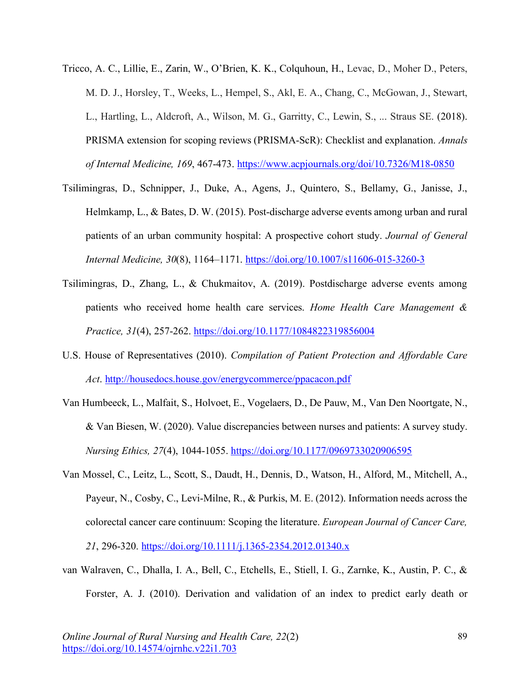- Tricco, A. C., Lillie, E., Zarin, W., O'Brien, K. K., Colquhoun, H., Levac, D., Moher D., Peters, M. D. J., Horsley, T., Weeks, L., Hempel, S., Akl, E. A., Chang, C., McGowan, J., Stewart, L., Hartling, L., Aldcroft, A., Wilson, M. G., Garritty, C., Lewin, S., ... Straus SE. (2018). PRISMA extension for scoping reviews (PRISMA-ScR): Checklist and explanation. *Annals of Internal Medicine, 169*, 467-473. https://www.acpjournals.org/doi/10.7326/M18-0850
- Tsilimingras, D., Schnipper, J., Duke, A., Agens, J., Quintero, S., Bellamy, G., Janisse, J., Helmkamp, L., & Bates, D. W. (2015). Post-discharge adverse events among urban and rural patients of an urban community hospital: A prospective cohort study. *Journal of General Internal Medicine, 30*(8), 1164–1171. https://doi.org/10.1007/s11606-015-3260-3
- Tsilimingras, D., Zhang, L., & Chukmaitov, A. (2019). Postdischarge adverse events among patients who received home health care services. *Home Health Care Management & Practice, 31*(4), 257-262. https://doi.org/10.1177/1084822319856004
- U.S. House of Representatives (2010). *Compilation of Patient Protection and Affordable Care Act*. http://housedocs.house.gov/energycommerce/ppacacon.pdf
- Van Humbeeck, L., Malfait, S., Holvoet, E., Vogelaers, D., De Pauw, M., Van Den Noortgate, N., & Van Biesen, W. (2020). Value discrepancies between nurses and patients: A survey study. *Nursing Ethics, 27*(4), 1044-1055. https://doi.org/10.1177/0969733020906595
- Van Mossel, C., Leitz, L., Scott, S., Daudt, H., Dennis, D., Watson, H., Alford, M., Mitchell, A., Payeur, N., Cosby, C., Levi-Milne, R., & Purkis, M. E. (2012). Information needs across the colorectal cancer care continuum: Scoping the literature. *European Journal of Cancer Care, 21*, 296-320. https://doi.org/10.1111/j.1365-2354.2012.01340.x
- van Walraven, C., Dhalla, I. A., Bell, C., Etchells, E., Stiell, I. G., Zarnke, K., Austin, P. C., & Forster, A. J. (2010). Derivation and validation of an index to predict early death or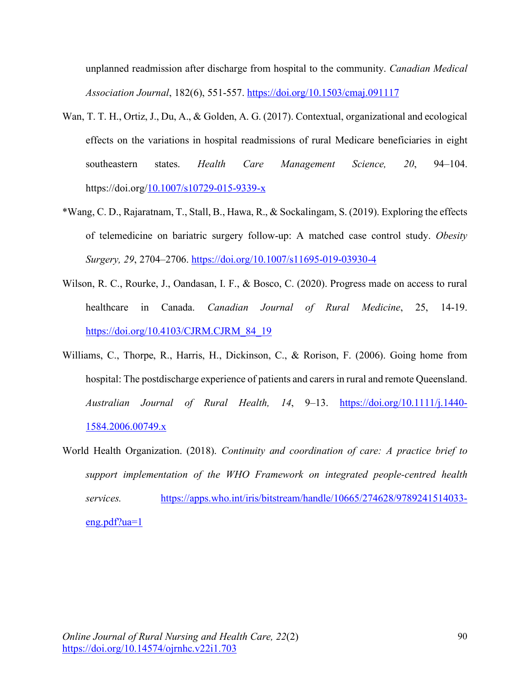unplanned readmission after discharge from hospital to the community. *Canadian Medical Association Journal*, 182(6), 551-557. https://doi.org/10.1503/cmaj.091117

- Wan, T. T. H., Ortiz, J., Du, A., & Golden, A. G. (2017). Contextual, organizational and ecological effects on the variations in hospital readmissions of rural Medicare beneficiaries in eight southeastern states. *Health Care Management Science, 20*, 94–104. https://doi.org/10.1007/s10729-015-9339-x
- \*Wang, C. D., Rajaratnam, T., Stall, B., Hawa, R., & Sockalingam, S. (2019). Exploring the effects of telemedicine on bariatric surgery follow-up: A matched case control study. *Obesity Surgery, 29*, 2704–2706. https://doi.org/10.1007/s11695-019-03930-4
- Wilson, R. C., Rourke, J., Oandasan, I. F., & Bosco, C. (2020). Progress made on access to rural healthcare in Canada. *Canadian Journal of Rural Medicine*, 25, 14-19. https://doi.org/10.4103/CJRM.CJRM\_84\_19
- Williams, C., Thorpe, R., Harris, H., Dickinson, C., & Rorison, F. (2006). Going home from hospital: The postdischarge experience of patients and carers in rural and remote Queensland. *Australian Journal of Rural Health, 14*, 9–13. https://doi.org/10.1111/j.1440- 1584.2006.00749.x
- World Health Organization. (2018). *Continuity and coordination of care: A practice brief to support implementation of the WHO Framework on integrated people-centred health services.* https://apps.who.int/iris/bitstream/handle/10665/274628/9789241514033  $eng.pdf?ua=1$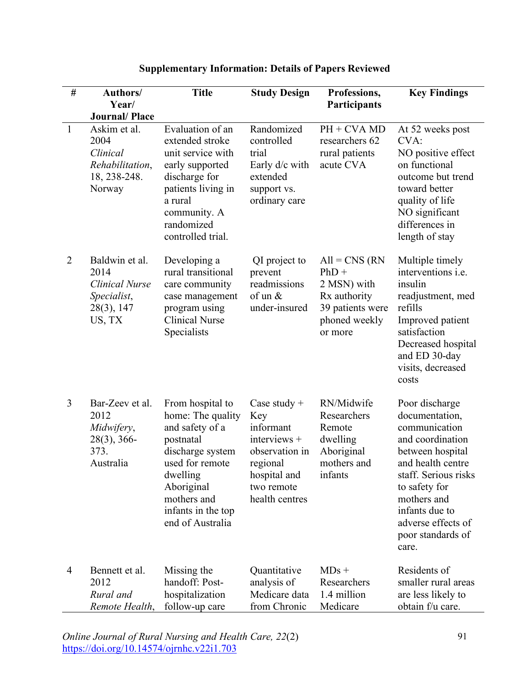| $\#$           | Authors/                                                                                              | <b>Title</b>                                                                                                                                                                                    | <b>Study Design</b>                                                                                                              | Professions,                                                                                               | <b>Key Findings</b>                                                                                                                                                                                                                          |
|----------------|-------------------------------------------------------------------------------------------------------|-------------------------------------------------------------------------------------------------------------------------------------------------------------------------------------------------|----------------------------------------------------------------------------------------------------------------------------------|------------------------------------------------------------------------------------------------------------|----------------------------------------------------------------------------------------------------------------------------------------------------------------------------------------------------------------------------------------------|
|                | Year/                                                                                                 |                                                                                                                                                                                                 |                                                                                                                                  | Participants                                                                                               |                                                                                                                                                                                                                                              |
| $\mathbf{1}$   | <b>Journal/Place</b><br>Askim et al.<br>2004<br>Clinical<br>Rehabilitation,<br>18, 238-248.<br>Norway | Evaluation of an<br>extended stroke<br>unit service with<br>early supported<br>discharge for<br>patients living in<br>a rural<br>community. A<br>randomized<br>controlled trial.                | Randomized<br>controlled<br>trial<br>Early d/c with<br>extended<br>support vs.<br>ordinary care                                  | $PH + CVA M D$<br>researchers 62<br>rural patients<br>acute CVA                                            | At 52 weeks post<br>CVA:<br>NO positive effect<br>on functional<br>outcome but trend<br>toward better<br>quality of life<br>NO significant<br>differences in<br>length of stay                                                               |
| $\overline{2}$ | Baldwin et al.<br>2014<br><b>Clinical Nurse</b><br>Specialist,<br>28(3), 147<br>US, TX                | Developing a<br>rural transitional<br>care community<br>case management<br>program using<br><b>Clinical Nurse</b><br>Specialists                                                                | QI project to<br>prevent<br>readmissions<br>of un $\&$<br>under-insured                                                          | $All = CNS (RN)$<br>$PhD +$<br>2 MSN) with<br>Rx authority<br>39 patients were<br>phoned weekly<br>or more | Multiple timely<br>interventions <i>i.e.</i><br>insulin<br>readjustment, med<br>refills<br>Improved patient<br>satisfaction<br>Decreased hospital<br>and ED 30-day<br>visits, decreased<br>costs                                             |
| 3              | Bar-Zeev et al.<br>2012<br>Midwifery,<br>$28(3)$ , 366-<br>373.<br>Australia                          | From hospital to<br>home: The quality<br>and safety of a<br>postnatal<br>discharge system<br>used for remote<br>dwelling<br>Aboriginal<br>mothers and<br>infants in the top<br>end of Australia | Case study $+$<br>Key<br>informant<br>interviews +<br>observation in<br>regional<br>hospital and<br>two remote<br>health centres | RN/Midwife<br>Researchers<br>Remote<br>dwelling<br>Aboriginal<br>mothers and<br>infants                    | Poor discharge<br>documentation,<br>communication<br>and coordination<br>between hospital<br>and health centre<br>staff. Serious risks<br>to safety for<br>mothers and<br>infants due to<br>adverse effects of<br>poor standards of<br>care. |
| $\overline{4}$ | Bennett et al.<br>2012<br>Rural and<br>Remote Health,                                                 | Missing the<br>handoff: Post-<br>hospitalization<br>follow-up care                                                                                                                              | Quantitative<br>analysis of<br>Medicare data<br>from Chronic                                                                     | $MDs +$<br>Researchers<br>1.4 million<br>Medicare                                                          | Residents of<br>smaller rural areas<br>are less likely to<br>obtain f/u care.                                                                                                                                                                |

# **Supplementary Information: Details of Papers Reviewed**

*Online Journal of Rural Nursing and Health Care, 22*(2) https://doi.org/10.14574/ojrnhc.v22i1.703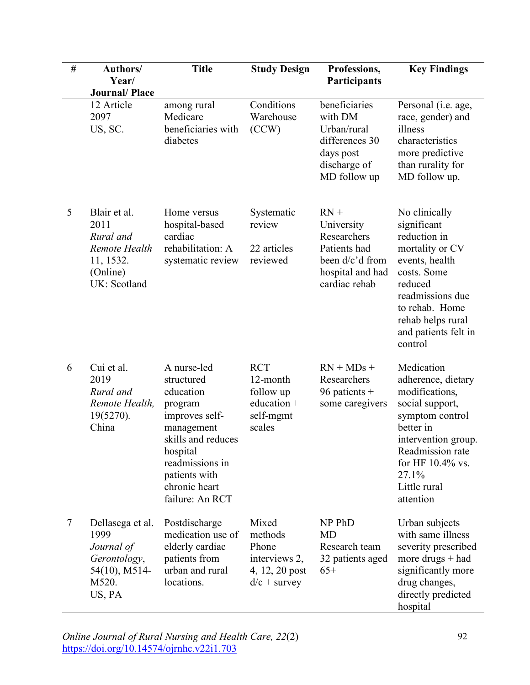| # | Authors/<br>Year/                                                                           | <b>Title</b>                                                                                                                                                                                | <b>Study Design</b>                                                            | Professions,<br>Participants                                                                                | <b>Key Findings</b>                                                                                                                                                                                        |
|---|---------------------------------------------------------------------------------------------|---------------------------------------------------------------------------------------------------------------------------------------------------------------------------------------------|--------------------------------------------------------------------------------|-------------------------------------------------------------------------------------------------------------|------------------------------------------------------------------------------------------------------------------------------------------------------------------------------------------------------------|
|   | <b>Journal/Place</b>                                                                        |                                                                                                                                                                                             |                                                                                |                                                                                                             |                                                                                                                                                                                                            |
|   | 12 Article<br>2097<br>US, SC.                                                               | among rural<br>Medicare<br>beneficiaries with<br>diabetes                                                                                                                                   | Conditions<br>Warehouse<br>(CCW)                                               | beneficiaries<br>with DM<br>Urban/rural<br>differences 30<br>days post<br>discharge of<br>MD follow up      | Personal (i.e. age,<br>race, gender) and<br>illness<br>characteristics<br>more predictive<br>than rurality for<br>MD follow up.                                                                            |
| 5 | Blair et al.<br>2011<br>Rural and<br>Remote Health<br>11, 1532.<br>(Online)<br>UK: Scotland | Home versus<br>hospital-based<br>cardiac<br>rehabilitation: A<br>systematic review                                                                                                          | Systematic<br>review<br>22 articles<br>reviewed                                | $RN +$<br>University<br>Researchers<br>Patients had<br>been d/c'd from<br>hospital and had<br>cardiac rehab | No clinically<br>significant<br>reduction in<br>mortality or CV<br>events, health<br>costs. Some<br>reduced<br>readmissions due<br>to rehab. Home<br>rehab helps rural<br>and patients felt in<br>control  |
| 6 | Cui et al.<br>2019<br>Rural and<br>Remote Health,<br>19(5270).<br>China                     | A nurse-led<br>structured<br>education<br>program<br>improves self-<br>management<br>skills and reduces<br>hospital<br>readmissions in<br>patients with<br>chronic heart<br>failure: An RCT | <b>RCT</b><br>12-month<br>follow up<br>education +<br>self-mgmt<br>scales      | $RN + MDs +$<br>Researchers<br>96 patients $+$<br>some caregivers                                           | Medication<br>adherence, dietary<br>modifications,<br>social support,<br>symptom control<br>better in<br>intervention group.<br>Readmission rate<br>for HF 10.4% vs.<br>27.1%<br>Little rural<br>attention |
| 7 | Dellasega et al.<br>1999<br>Journal of<br>Gerontology,<br>54(10), M514-<br>M520.<br>US, PA  | Postdischarge<br>medication use of<br>elderly cardiac<br>patients from<br>urban and rural<br>locations.                                                                                     | Mixed<br>methods<br>Phone<br>interviews 2,<br>4, 12, 20 post<br>$d/c +$ survey | NP PhD<br><b>MD</b><br>Research team<br>32 patients aged<br>$65+$                                           | Urban subjects<br>with same illness<br>severity prescribed<br>more drugs $+$ had<br>significantly more<br>drug changes,<br>directly predicted<br>hospital                                                  |

*Online Journal of Rural Nursing and Health Care, 22*(2) https://doi.org/10.14574/ojrnhc.v22i1.703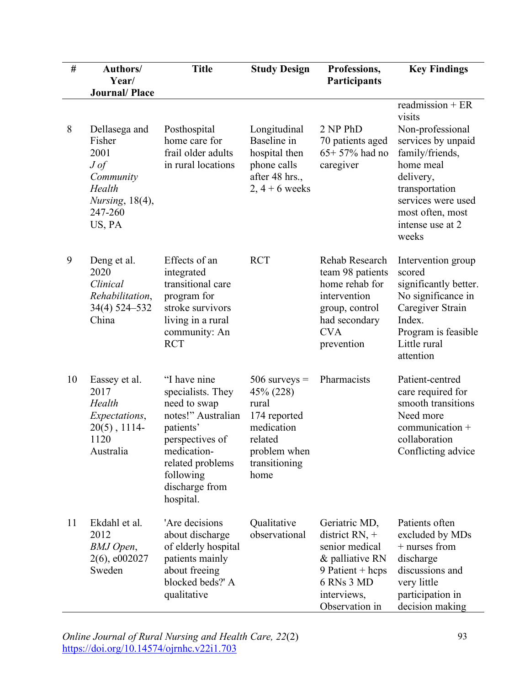| $\#$ | Authors/<br>Year/                                                                                                         | <b>Title</b>                                                                                                                                                                           | <b>Study Design</b>                                                                                                     | Professions,<br>Participants                                                                                                                | <b>Key Findings</b>                                                                                                                                                                                         |
|------|---------------------------------------------------------------------------------------------------------------------------|----------------------------------------------------------------------------------------------------------------------------------------------------------------------------------------|-------------------------------------------------------------------------------------------------------------------------|---------------------------------------------------------------------------------------------------------------------------------------------|-------------------------------------------------------------------------------------------------------------------------------------------------------------------------------------------------------------|
|      | <b>Journal/Place</b>                                                                                                      |                                                                                                                                                                                        |                                                                                                                         |                                                                                                                                             |                                                                                                                                                                                                             |
| 8    | Dellasega and<br>Fisher<br>2001<br>$J \textit{of}$<br>Community<br>Health<br><i>Nursing</i> , 18(4),<br>247-260<br>US, PA | Posthospital<br>home care for<br>frail older adults<br>in rural locations                                                                                                              | Longitudinal<br>Baseline in<br>hospital then<br>phone calls<br>after 48 hrs.,<br>$2, 4+6$ weeks                         | 2 NP PhD<br>70 patients aged<br>$65+57%$ had no<br>caregiver                                                                                | readmission $+ER$<br>visits<br>Non-professional<br>services by unpaid<br>family/friends,<br>home meal<br>delivery,<br>transportation<br>services were used<br>most often, most<br>intense use at 2<br>weeks |
| 9    | Deng et al.<br>2020<br>Clinical<br>Rehabilitation,<br>34(4) 524-532<br>China                                              | Effects of an<br>integrated<br>transitional care<br>program for<br>stroke survivors<br>living in a rural<br>community: An<br><b>RCT</b>                                                | <b>RCT</b>                                                                                                              | Rehab Research<br>team 98 patients<br>home rehab for<br>intervention<br>group, control<br>had secondary<br><b>CVA</b><br>prevention         | Intervention group<br>scored<br>significantly better.<br>No significance in<br>Caregiver Strain<br>Index.<br>Program is feasible<br>Little rural<br>attention                                               |
| 10   | Eassey et al.<br>2017<br>Health<br>Expectations,<br>$20(5)$ , 1114-<br>1120<br>Australia                                  | "I have nine<br>specialists. They<br>need to swap<br>notes!" Australian<br>patients'<br>perspectives of<br>medication-<br>related problems<br>following<br>discharge from<br>hospital. | $506$ surveys =<br>45% (228)<br>rural<br>174 reported<br>medication<br>related<br>problem when<br>transitioning<br>home | Pharmacists                                                                                                                                 | Patient-centred<br>care required for<br>smooth transitions<br>Need more<br>communication +<br>collaboration<br>Conflicting advice                                                                           |
| 11   | Ekdahl et al.<br>2012<br>BMJ Open,<br>$2(6)$ , e002027<br>Sweden                                                          | 'Are decisions<br>about discharge<br>of elderly hospital<br>patients mainly<br>about freeing<br>blocked beds?' A<br>qualitative                                                        | Qualitative<br>observational                                                                                            | Geriatric MD,<br>district RN, $+$<br>senior medical<br>& palliative RN<br>9 Patient + $heps$<br>6 RNs 3 MD<br>interviews,<br>Observation in | Patients often<br>excluded by MDs<br>+ nurses from<br>discharge<br>discussions and<br>very little<br>participation in<br>decision making                                                                    |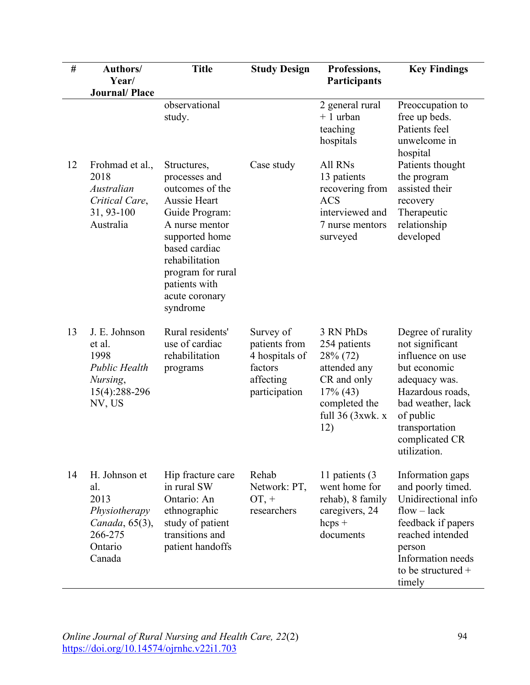| $\#$ | Authors/<br>Year/<br><b>Journal/Place</b>                                                       | <b>Title</b>                                                                                                                                                                                                                 | <b>Study Design</b>                                                                   | Professions,<br>Participants                                                                                                      | <b>Key Findings</b>                                                                                                                                                                                  |
|------|-------------------------------------------------------------------------------------------------|------------------------------------------------------------------------------------------------------------------------------------------------------------------------------------------------------------------------------|---------------------------------------------------------------------------------------|-----------------------------------------------------------------------------------------------------------------------------------|------------------------------------------------------------------------------------------------------------------------------------------------------------------------------------------------------|
|      |                                                                                                 | observational<br>study.                                                                                                                                                                                                      |                                                                                       | 2 general rural<br>$+1$ urban<br>teaching<br>hospitals                                                                            | Preoccupation to<br>free up beds.<br>Patients feel<br>unwelcome in<br>hospital                                                                                                                       |
| 12   | Frohmad et al.,<br>2018<br>Australian<br>Critical Care,<br>31, 93-100<br>Australia              | Structures,<br>processes and<br>outcomes of the<br>Aussie Heart<br>Guide Program:<br>A nurse mentor<br>supported home<br>based cardiac<br>rehabilitation<br>program for rural<br>patients with<br>acute coronary<br>syndrome | Case study                                                                            | All RNs<br>13 patients<br>recovering from<br><b>ACS</b><br>interviewed and<br>7 nurse mentors<br>surveyed                         | Patients thought<br>the program<br>assisted their<br>recovery<br>Therapeutic<br>relationship<br>developed                                                                                            |
| 13   | J. E. Johnson<br>et al.<br>1998<br><b>Public Health</b><br>Nursing,<br>15(4):288-296<br>NV, US  | Rural residents'<br>use of cardiac<br>rehabilitation<br>programs                                                                                                                                                             | Survey of<br>patients from<br>4 hospitals of<br>factors<br>affecting<br>participation | 3 RN PhDs<br>254 patients<br>28% (72)<br>attended any<br>CR and only<br>$17\%$ (43)<br>completed the<br>full $36$ (3xwk. x<br>12) | Degree of rurality<br>not significant<br>influence on use<br>but economic<br>adequacy was.<br>Hazardous roads,<br>bad weather, lack<br>of public<br>transportation<br>complicated CR<br>utilization. |
| 14   | H. Johnson et<br>al.<br>2013<br>Physiotherapy<br>Canada, 65(3),<br>266-275<br>Ontario<br>Canada | Hip fracture care<br>in rural SW<br>Ontario: An<br>ethnographic<br>study of patient<br>transitions and<br>patient handoffs                                                                                                   | Rehab<br>Network: PT,<br>$OT, +$<br>researchers                                       | 11 patients (3)<br>went home for<br>rehab), 8 family<br>caregivers, 24<br>$heps +$<br>documents                                   | Information gaps<br>and poorly timed.<br>Unidirectional info<br>$flow - lack$<br>feedback if papers<br>reached intended<br>person<br>Information needs<br>to be structured +<br>timely               |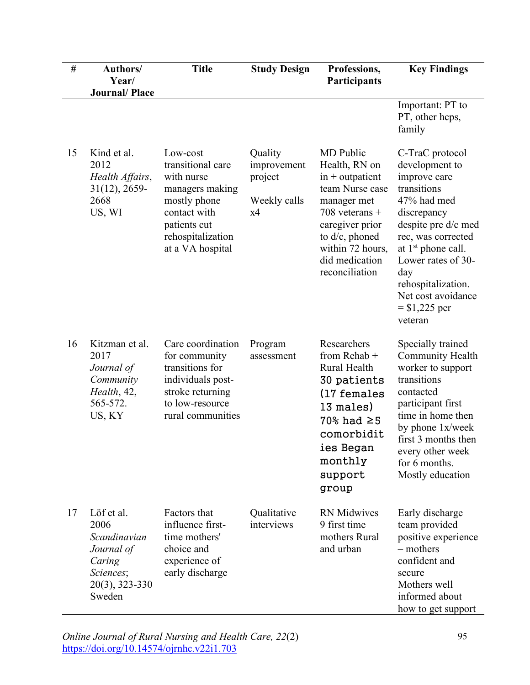| $\#$ | Authors/<br>Year/                                                                                      | <b>Title</b>                                                                                                                                            | <b>Study Design</b>                                     | Professions,<br>Participants                                                                                                                                                                       | <b>Key Findings</b>                                                                                                                                                                                                                                                        |
|------|--------------------------------------------------------------------------------------------------------|---------------------------------------------------------------------------------------------------------------------------------------------------------|---------------------------------------------------------|----------------------------------------------------------------------------------------------------------------------------------------------------------------------------------------------------|----------------------------------------------------------------------------------------------------------------------------------------------------------------------------------------------------------------------------------------------------------------------------|
|      | <b>Journal/Place</b>                                                                                   |                                                                                                                                                         |                                                         |                                                                                                                                                                                                    | Important: PT to<br>PT, other hcps,<br>family                                                                                                                                                                                                                              |
| 15   | Kind et al.<br>2012<br>Health Affairs,<br>$31(12), 2659$ -<br>2668<br>US, WI                           | Low-cost<br>transitional care<br>with nurse<br>managers making<br>mostly phone<br>contact with<br>patients cut<br>rehospitalization<br>at a VA hospital | Quality<br>improvement<br>project<br>Weekly calls<br>x4 | MD Public<br>Health, RN on<br>$in +$ outpatient<br>team Nurse case<br>manager met<br>708 veterans $+$<br>caregiver prior<br>to d/c, phoned<br>within 72 hours,<br>did medication<br>reconciliation | C-TraC protocol<br>development to<br>improve care<br>transitions<br>47% had med<br>discrepancy<br>despite pre d/c med<br>rec, was corrected<br>at $1st$ phone call.<br>Lower rates of 30-<br>day<br>rehospitalization.<br>Net cost avoidance<br>$=$ \$1,225 per<br>veteran |
| 16   | Kitzman et al.<br>2017<br>Journal of<br>Community<br>Health, 42,<br>565-572.<br>US, KY                 | Care coordination<br>for community<br>transitions for<br>individuals post-<br>stroke returning<br>to low-resource<br>rural communities                  | Program<br>assessment                                   | Researchers<br>from Rehab +<br>Rural Health<br>30 patients<br>(17 females<br>13 males)<br>$70\%$ had $\geq 5$<br>comorbidit<br>ies Began<br>monthly<br>support<br>group                            | Specially trained<br>Community Health<br>worker to support<br>transitions<br>contacted<br>participant first<br>time in home then<br>by phone 1x/week<br>first 3 months then<br>every other week<br>for 6 months.<br>Mostly education                                       |
| 17   | Löf et al.<br>2006<br>Scandinavian<br>Journal of<br>Caring<br>Sciences;<br>$20(3)$ , 323-330<br>Sweden | Factors that<br>influence first-<br>time mothers'<br>choice and<br>experience of<br>early discharge                                                     | Qualitative<br>interviews                               | <b>RN</b> Midwives<br>9 first time<br>mothers Rural<br>and urban                                                                                                                                   | Early discharge<br>team provided<br>positive experience<br>– mothers<br>confident and<br>secure<br>Mothers well<br>informed about<br>how to get support                                                                                                                    |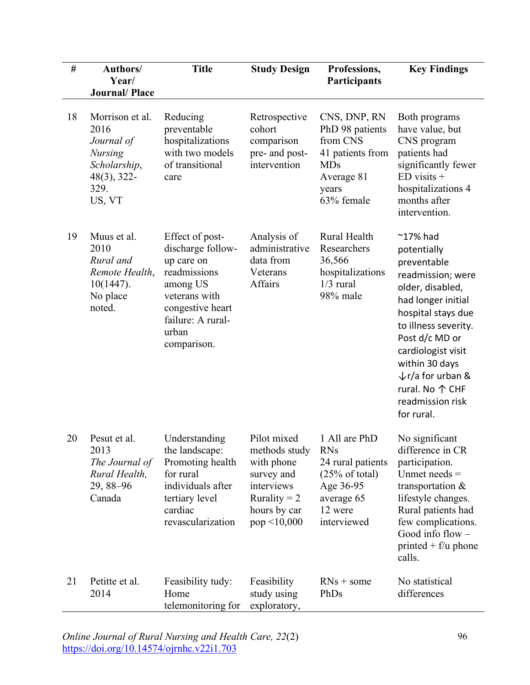| $\#$ | Authors/<br>Year/                                                                                           | <b>Title</b>                                                                                                                                                     | <b>Study Design</b>                                                                                                      | Professions,<br>Participants                                                                                                       | <b>Key Findings</b>                                                                                                                                                                                                                                                                                         |
|------|-------------------------------------------------------------------------------------------------------------|------------------------------------------------------------------------------------------------------------------------------------------------------------------|--------------------------------------------------------------------------------------------------------------------------|------------------------------------------------------------------------------------------------------------------------------------|-------------------------------------------------------------------------------------------------------------------------------------------------------------------------------------------------------------------------------------------------------------------------------------------------------------|
|      | <b>Journal/Place</b>                                                                                        |                                                                                                                                                                  |                                                                                                                          |                                                                                                                                    |                                                                                                                                                                                                                                                                                                             |
| 18   | Morrison et al.<br>2016<br>Journal of<br><b>Nursing</b><br>Scholarship,<br>$48(3)$ , 322-<br>329.<br>US, VT | Reducing<br>preventable<br>hospitalizations<br>with two models<br>of transitional<br>care                                                                        | Retrospective<br>cohort<br>comparison<br>pre- and post-<br>intervention                                                  | CNS, DNP, RN<br>PhD 98 patients<br>from CNS<br>41 patients from<br><b>MDs</b><br>Average 81<br>years<br>63% female                 | Both programs<br>have value, but<br>CNS program<br>patients had<br>significantly fewer<br>$ED$ visits $+$<br>hospitalizations 4<br>months after<br>intervention.                                                                                                                                            |
| 19   | Muus et al.<br>2010<br>Rural and<br>Remote Health,<br>$10(1447)$ .<br>No place<br>noted.                    | Effect of post-<br>discharge follow-<br>up care on<br>readmissions<br>among US<br>veterans with<br>congestive heart<br>failure: A rural-<br>urban<br>comparison. | Analysis of<br>administrative<br>data from<br>Veterans<br>Affairs                                                        | Rural Health<br>Researchers<br>36,566<br>hospitalizations<br>$1/3$ rural<br>98% male                                               | $^{\sim}$ 17% had<br>potentially<br>preventable<br>readmission; were<br>older, disabled,<br>had longer initial<br>hospital stays due<br>to illness severity.<br>Post d/c MD or<br>cardiologist visit<br>within 30 days<br>$\downarrow$ r/a for urban &<br>rural. No 个 CHF<br>readmission risk<br>for rural. |
| 20   | Pesut et al.<br>2013<br>The Journal of<br>Rural Health,<br>$29,88 - 96$<br>Canada                           | Understanding<br>the landscape:<br>Promoting health<br>for rural<br>individuals after<br>tertiary level<br>cardiac<br>revascularization                          | Pilot mixed<br>methods study<br>with phone<br>survey and<br>interviews<br>Rurality = $2$<br>hours by car<br>pop < 10,000 | 1 All are PhD<br><b>RNs</b><br>24 rural patients<br>$(25\% \text{ of total})$<br>Age 36-95<br>average 65<br>12 were<br>interviewed | No significant<br>difference in CR<br>participation.<br>Unmet needs $=$<br>transportation $\&$<br>lifestyle changes.<br>Rural patients had<br>few complications.<br>Good info flow -<br>printed $+ f/u$ phone<br>calls.                                                                                     |
| 21   | Petitte et al.<br>2014                                                                                      | Feasibility tudy:<br>Home<br>telemonitoring for                                                                                                                  | Feasibility<br>study using<br>exploratory,                                                                               | $RNs + some$<br>PhDs                                                                                                               | No statistical<br>differences                                                                                                                                                                                                                                                                               |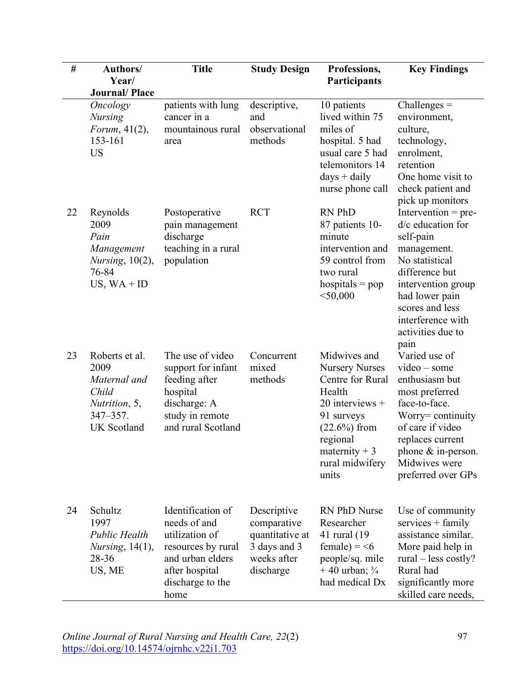| $\#$ | Authors/                                                                                                | <b>Title</b>                                                                                                                                | <b>Study Design</b>                                                                       | Professions,                                                                                                                                                                     | <b>Key Findings</b>                                                                                                                                                                                                     |
|------|---------------------------------------------------------------------------------------------------------|---------------------------------------------------------------------------------------------------------------------------------------------|-------------------------------------------------------------------------------------------|----------------------------------------------------------------------------------------------------------------------------------------------------------------------------------|-------------------------------------------------------------------------------------------------------------------------------------------------------------------------------------------------------------------------|
|      | Year/                                                                                                   |                                                                                                                                             |                                                                                           | Participants                                                                                                                                                                     |                                                                                                                                                                                                                         |
|      | <b>Journal/Place</b>                                                                                    |                                                                                                                                             |                                                                                           |                                                                                                                                                                                  |                                                                                                                                                                                                                         |
|      | <b>Oncology</b><br><b>Nursing</b><br>Forum, $41(2)$ ,                                                   | patients with lung<br>cancer in a<br>mountainous rural                                                                                      | descriptive,<br>and<br>observational                                                      | 10 patients<br>lived within 75<br>miles of                                                                                                                                       | $Challenges =$<br>environment,<br>culture,                                                                                                                                                                              |
|      | 153-161<br><b>US</b>                                                                                    | area                                                                                                                                        | methods                                                                                   | hospital. 5 had<br>usual care 5 had<br>telemonitors 14<br>$days + daily$<br>nurse phone call                                                                                     | technology,<br>enrolment,<br>retention<br>One home visit to<br>check patient and<br>pick up monitors                                                                                                                    |
| 22   | Reynolds<br>2009<br>Pain<br>Management<br><i>Nursing</i> , $10(2)$ ,<br>76-84<br>US, $WA + ID$          | Postoperative<br>pain management<br>discharge<br>teaching in a rural<br>population                                                          | <b>RCT</b>                                                                                | RN PhD<br>87 patients 10-<br>minute<br>intervention and<br>59 control from<br>two rural<br>hospitals $=$ pop<br>$<$ 50,000                                                       | Intervention = $pre-$<br>d/c education for<br>self-pain<br>management.<br>No statistical<br>difference but<br>intervention group<br>had lower pain<br>scores and less<br>interference with<br>activities due to<br>pain |
| 23   | Roberts et al.<br>2009<br>Maternal and<br>Child<br>Nutrition, 5,<br>$347 - 357$ .<br><b>UK</b> Scotland | The use of video<br>support for infant<br>feeding after<br>hospital<br>discharge: A<br>study in remote<br>and rural Scotland                | Concurrent<br>mixed<br>methods                                                            | Midwives and<br><b>Nursery Nurses</b><br>Centre for Rural<br>Health<br>$20$ interviews +<br>91 surveys<br>(22.6%) from<br>regional<br>maternity $+3$<br>rural midwifery<br>units | Varied use of<br>$video - some$<br>enthusiasm but<br>most preferred<br>face-to-face.<br>Worry= continuity<br>of care if video<br>replaces current<br>phone $&$ in-person.<br>Midwives were<br>preferred over GPs        |
| 24   | Schultz<br>1997<br><b>Public Health</b><br><i>Nursing</i> , $14(1)$ ,<br>28-36<br>US, ME                | Identification of<br>needs of and<br>utilization of<br>resources by rural<br>and urban elders<br>after hospital<br>discharge to the<br>home | Descriptive<br>comparative<br>quantitative at<br>3 days and 3<br>weeks after<br>discharge | <b>RN PhD Nurse</b><br>Researcher<br>41 rural (19)<br>female) = $\leq 6$<br>people/sq. mile<br>$+40$ urban; $\frac{3}{4}$<br>had medical Dx                                      | Use of community<br>$s$ ervices + family<br>assistance similar.<br>More paid help in<br>rural $-$ less costly?<br>Rural had<br>significantly more<br>skilled care needs,                                                |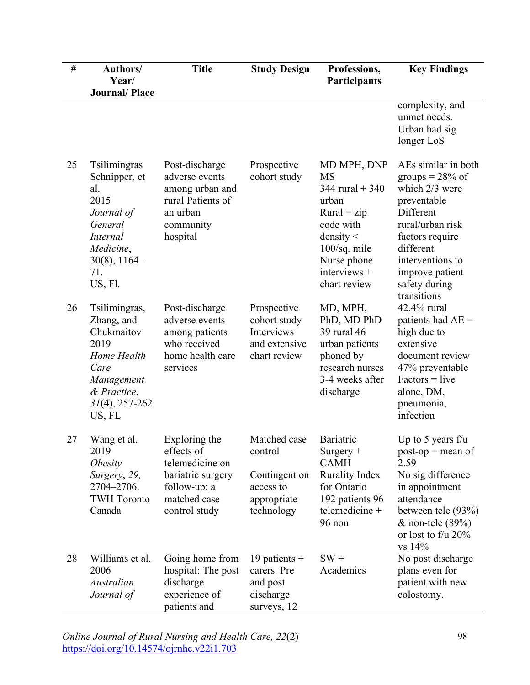| $\#$ | Authors/                                                                                                                                   | <b>Title</b>                                                                                                         | <b>Study Design</b>                                                                | Professions,                                                                                                                                                          | <b>Key Findings</b>                                                                                                                                                                                                |
|------|--------------------------------------------------------------------------------------------------------------------------------------------|----------------------------------------------------------------------------------------------------------------------|------------------------------------------------------------------------------------|-----------------------------------------------------------------------------------------------------------------------------------------------------------------------|--------------------------------------------------------------------------------------------------------------------------------------------------------------------------------------------------------------------|
|      | Year/<br><b>Journal/Place</b>                                                                                                              |                                                                                                                      |                                                                                    | Participants                                                                                                                                                          |                                                                                                                                                                                                                    |
|      |                                                                                                                                            |                                                                                                                      |                                                                                    |                                                                                                                                                                       | complexity, and<br>unmet needs.<br>Urban had sig<br>longer LoS                                                                                                                                                     |
| 25   | Tsilimingras<br>Schnipper, et<br>al.<br>2015<br>Journal of<br>General<br><i>Internal</i><br>Medicine,<br>$30(8)$ , 1164–<br>71.<br>US, Fl. | Post-discharge<br>adverse events<br>among urban and<br>rural Patients of<br>an urban<br>community<br>hospital        | Prospective<br>cohort study                                                        | MD MPH, DNP<br><b>MS</b><br>344 rural $+ 340$<br>urban<br>$Rural = zip$<br>code with<br>density $\leq$<br>100/sq. mile<br>Nurse phone<br>interviews +<br>chart review | AEs similar in both<br>groups = $28\%$ of<br>which 2/3 were<br>preventable<br>Different<br>rural/urban risk<br>factors require<br>different<br>interventions to<br>improve patient<br>safety during<br>transitions |
| 26   | Tsilimingras,<br>Zhang, and<br>Chukmaitov<br>2019<br>Home Health<br>Care<br>Management<br>& Practice,<br>$31(4)$ , 257-262<br>US, FL       | Post-discharge<br>adverse events<br>among patients<br>who received<br>home health care<br>services                   | Prospective<br>cohort study<br>Interviews<br>and extensive<br>chart review         | MD, MPH,<br>PhD, MD PhD<br>39 rural 46<br>urban patients<br>phoned by<br>research nurses<br>3-4 weeks after<br>discharge                                              | 42.4% rural<br>patients had $AE =$<br>high due to<br>extensive<br>document review<br>47% preventable<br>$Factors = live$<br>alone, DM,<br>pneumonia,<br>infection                                                  |
| 27   | Wang et al.<br>2019<br><i>Obesity</i><br>Surgery, 29,<br>2704-2706.<br><b>TWH Toronto</b><br>Canada                                        | Exploring the<br>effects of<br>telemedicine on<br>bariatric surgery<br>follow-up: a<br>matched case<br>control study | Matched case<br>control<br>Contingent on<br>access to<br>appropriate<br>technology | Bariatric<br>Surgery +<br><b>CAMH</b><br><b>Rurality Index</b><br>for Ontario<br>192 patients 96<br>telemedicine +<br>96 non                                          | Up to 5 years $f/u$<br>$post-op = mean of$<br>2.59<br>No sig difference<br>in appointment<br>attendance<br>between tele (93%)<br>$&$ non-tele (89%)<br>or lost to $f/u$ 20%<br>vs 14%                              |
| 28   | Williams et al.<br>2006<br>Australian<br>Journal of                                                                                        | Going home from<br>hospital: The post<br>discharge<br>experience of<br>patients and                                  | 19 patients $+$<br>carers. Pre<br>and post<br>discharge<br>surveys, 12             | $SW +$<br>Academics                                                                                                                                                   | No post discharge<br>plans even for<br>patient with new<br>colostomy.                                                                                                                                              |